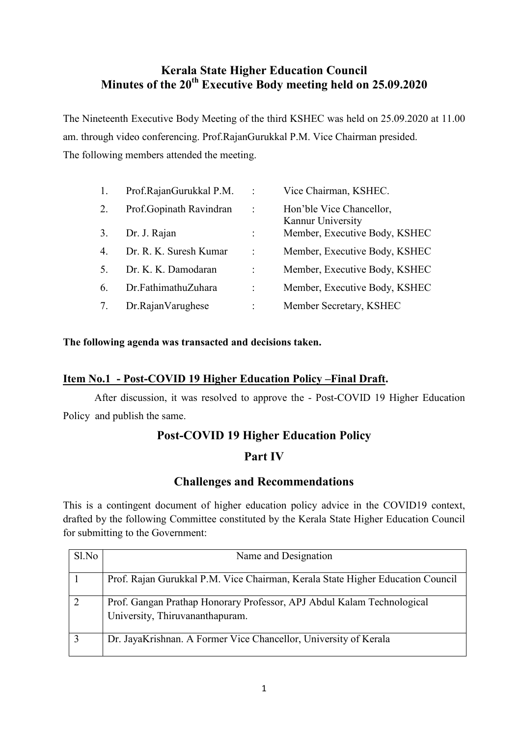# **Kerala State Higher Education Council Minutes of the 20th Executive Body meeting held on 25.09.2020**

The Nineteenth Executive Body Meeting of the third KSHEC was held on 25.09.2020 at 11.00 am. through video conferencing. Prof.RajanGurukkal P.M. Vice Chairman presided. The following members attended the meeting.

|                | Prof.RajanGurukkal P.M. | $\ddot{\cdot}$       | Vice Chairman, KSHEC.                         |
|----------------|-------------------------|----------------------|-----------------------------------------------|
| 2.             | Prof.Gopinath Ravindran | $\ddot{\phantom{0}}$ | Hon'ble Vice Chancellor,<br>Kannur University |
| 3.             | Dr. J. Rajan            |                      | Member, Executive Body, KSHEC                 |
| $\overline{4}$ | Dr. R. K. Suresh Kumar  | t                    | Member, Executive Body, KSHEC                 |
|                | Dr. K. K. Damodaran     |                      | Member, Executive Body, KSHEC                 |
| 6              | Dr.FathimathuZuhara     |                      | Member, Executive Body, KSHEC                 |
|                | Dr.RajanVarughese       | ٠                    | Member Secretary, KSHEC                       |

**The following agenda was transacted and decisions taken.** 

#### **Item No.1 - Post-COVID 19 Higher Education Policy –Final Draft.**

 After discussion, it was resolved to approve the - Post-COVID 19 Higher Education Policy and publish the same.

# **Post-COVID 19 Higher Education Policy**

#### **Part IV**

# **Challenges and Recommendations**

This is a contingent document of higher education policy advice in the COVID19 context, drafted by the following Committee constituted by the Kerala State Higher Education Council for submitting to the Government:

| Sl.No | Name and Designation                                                                                      |
|-------|-----------------------------------------------------------------------------------------------------------|
|       | Prof. Rajan Gurukkal P.M. Vice Chairman, Kerala State Higher Education Council                            |
|       | Prof. Gangan Prathap Honorary Professor, APJ Abdul Kalam Technological<br>University, Thiruvananthapuram. |
|       | Dr. JayaKrishnan. A Former Vice Chancellor, University of Kerala                                          |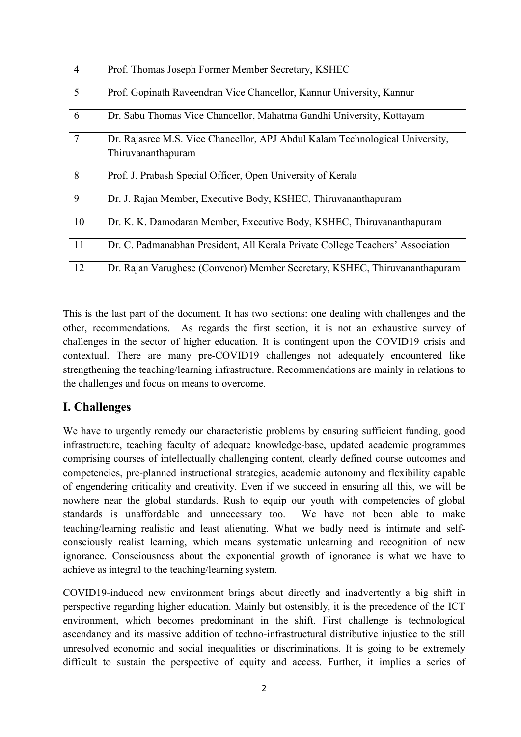| $\overline{4}$ | Prof. Thomas Joseph Former Member Secretary, KSHEC                                                 |
|----------------|----------------------------------------------------------------------------------------------------|
| 5              | Prof. Gopinath Raveendran Vice Chancellor, Kannur University, Kannur                               |
| 6              | Dr. Sabu Thomas Vice Chancellor, Mahatma Gandhi University, Kottayam                               |
| $\overline{7}$ | Dr. Rajasree M.S. Vice Chancellor, APJ Abdul Kalam Technological University,<br>Thiruvananthapuram |
| 8              | Prof. J. Prabash Special Officer, Open University of Kerala                                        |
| 9              | Dr. J. Rajan Member, Executive Body, KSHEC, Thiruvananthapuram                                     |
| 10             | Dr. K. K. Damodaran Member, Executive Body, KSHEC, Thiruvananthapuram                              |
| 11             | Dr. C. Padmanabhan President, All Kerala Private College Teachers' Association                     |
| 12             | Dr. Rajan Varughese (Convenor) Member Secretary, KSHEC, Thiruvananthapuram                         |

This is the last part of the document. It has two sections: one dealing with challenges and the other, recommendations. As regards the first section, it is not an exhaustive survey of challenges in the sector of higher education. It is contingent upon the COVID19 crisis and contextual. There are many pre-COVID19 challenges not adequately encountered like strengthening the teaching/learning infrastructure. Recommendations are mainly in relations to the challenges and focus on means to overcome.

# **I. Challenges**

We have to urgently remedy our characteristic problems by ensuring sufficient funding, good infrastructure, teaching faculty of adequate knowledge-base, updated academic programmes comprising courses of intellectually challenging content, clearly defined course outcomes and competencies, pre-planned instructional strategies, academic autonomy and flexibility capable of engendering criticality and creativity. Even if we succeed in ensuring all this, we will be nowhere near the global standards. Rush to equip our youth with competencies of global standards is unaffordable and unnecessary too. We have not been able to make teaching/learning realistic and least alienating. What we badly need is intimate and selfconsciously realist learning, which means systematic unlearning and recognition of new ignorance. Consciousness about the exponential growth of ignorance is what we have to achieve as integral to the teaching/learning system.

COVID19-induced new environment brings about directly and inadvertently a big shift in perspective regarding higher education. Mainly but ostensibly, it is the precedence of the ICT environment, which becomes predominant in the shift. First challenge is technological ascendancy and its massive addition of techno-infrastructural distributive injustice to the still unresolved economic and social inequalities or discriminations. It is going to be extremely difficult to sustain the perspective of equity and access. Further, it implies a series of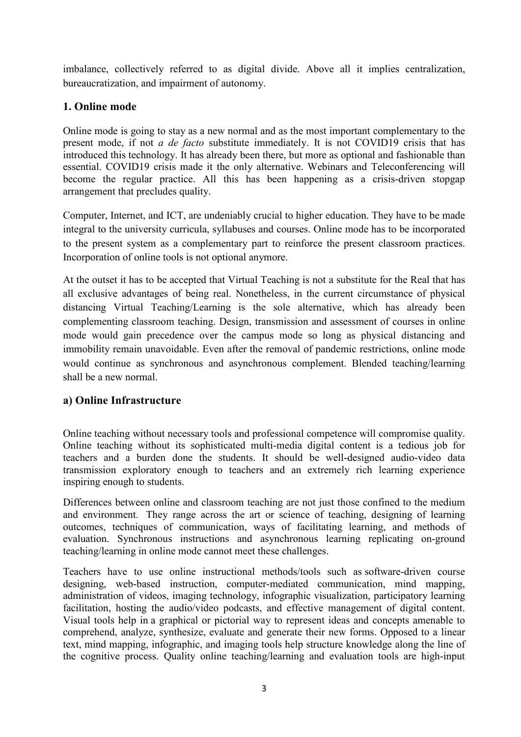imbalance, collectively referred to as digital divide. Above all it implies centralization, bureaucratization, and impairment of autonomy.

#### **1. Online mode**

Online mode is going to stay as a new normal and as the most important complementary to the present mode, if not *a de facto* substitute immediately. It is not COVID19 crisis that has introduced this technology. It has already been there, but more as optional and fashionable than essential. COVID19 crisis made it the only alternative. Webinars and Teleconferencing will become the regular practice. All this has been happening as a crisis-driven stopgap arrangement that precludes quality.

Computer, Internet, and ICT, are undeniably crucial to higher education. They have to be made integral to the university curricula, syllabuses and courses. Online mode has to be incorporated to the present system as a complementary part to reinforce the present classroom practices. Incorporation of online tools is not optional anymore.

At the outset it has to be accepted that Virtual Teaching is not a substitute for the Real that has all exclusive advantages of being real. Nonetheless, in the current circumstance of physical distancing Virtual Teaching/Learning is the sole alternative, which has already been complementing classroom teaching. Design, transmission and assessment of courses in online mode would gain precedence over the campus mode so long as physical distancing and immobility remain unavoidable. Even after the removal of pandemic restrictions, online mode would continue as synchronous and asynchronous complement. Blended teaching/learning shall be a new normal.

#### **a) Online Infrastructure**

Online teaching without necessary tools and professional competence will compromise quality. Online teaching without its sophisticated multi-media digital content is a tedious job for teachers and a burden done the students. It should be well-designed audio-video data transmission exploratory enough to teachers and an extremely rich learning experience inspiring enough to students.

Differences between online and classroom teaching are not just those confined to the medium and environment. They range across the art or science of teaching, designing of learning outcomes, techniques of communication, ways of facilitating learning, and methods of evaluation. Synchronous instructions and asynchronous learning replicating on-ground teaching/learning in online mode cannot meet these challenges.

Teachers have to use online instructional methods/tools such as software-driven course designing, web-based instruction, computer-mediated communication, mind mapping, administration of videos, imaging technology, infographic visualization, participatory learning facilitation, hosting the audio/video podcasts, and effective management of digital content. Visual tools help in a graphical or pictorial way to represent ideas and concepts amenable to comprehend, analyze, synthesize, evaluate and generate their new forms. Opposed to a linear text, mind mapping, infographic, and imaging tools help structure knowledge along the line of the cognitive process. Quality online teaching/learning and evaluation tools are high-input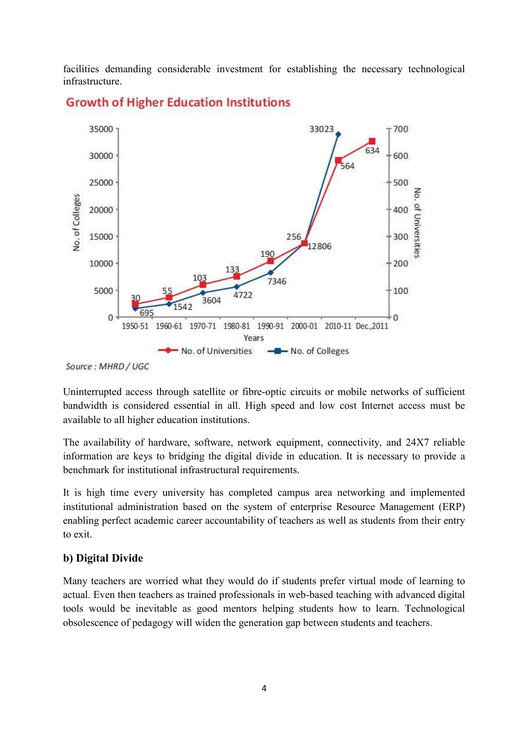facilities demanding considerable investment for establishing the necessary technological infrastructure.



Uninterrupted access through satellite or fibre-optic circuits or mobile networks of sufficient bandwidth is considered essential in all. High speed and low cost Internet access must be available to all higher education institutions.

The availability of hardware, software, network equipment, connectivity, and 24X7 reliable information are keys to bridging the digital divide in education. It is necessary to provide a benchmark for institutional infrastructural requirements. optic circuits or mobile networks of sufficient<br>  $\mu$  speed and low cost Internet access must be<br>  $\mu$ k equipment, connectivity, and 24X7 reliable<br>
vide in education. It is necessary to provide a<br>
rements.<br>
Ed campus area

It is high time every university has completed campus area networking and implemented institutional administration based on the system of enterprise Resource Management (ERP) enabling perfect academic career accountability of teachers as well as students from their e to exit. vallability of hardware, software, network equipment, connectivity, and 24X7 reliable ation are keys to bridging the digital divide in education. It is necessary to provide a mark for institutional infrastructural requirem

#### **b) Digital Divide**

Many teachers are worried what they would do if students prefer virtual mode of learning to actual. Even then teachers as trained professionals in web-based teaching with advanced digital actual. Even then teachers as trained professionals in web-based teaching with advanced digital tools would be inevitable as good mentors helping students how to learn. Technological obsolescence of pedagogy will widen the generation gap between students and teachers.

Source: MHRD / UGC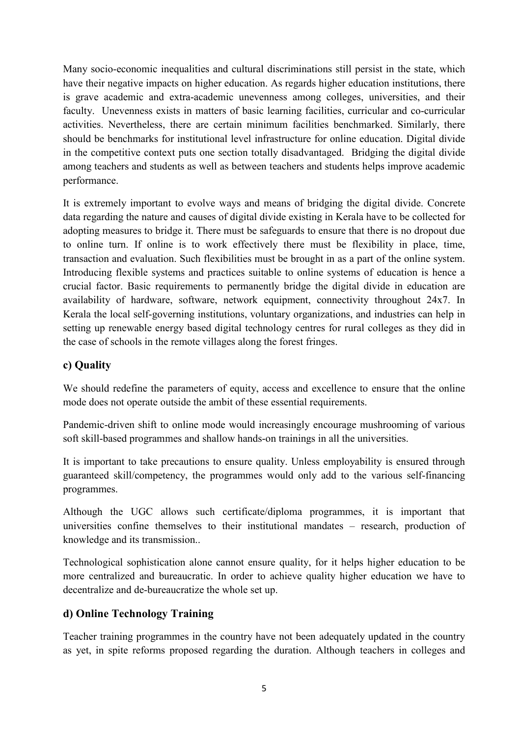Many socio-economic inequalities and cultural discriminations still persist in the state, which have their negative impacts on higher education. As regards higher education institutions, there is grave academic and extra-academic unevenness among colleges, universities, and their faculty. Unevenness exists in matters of basic learning facilities, curricular and co-curricular activities. Nevertheless, there are certain minimum facilities benchmarked. Similarly, there should be benchmarks for institutional level infrastructure for online education. Digital divide in the competitive context puts one section totally disadvantaged. Bridging the digital divide among teachers and students as well as between teachers and students helps improve academic performance.

It is extremely important to evolve ways and means of bridging the digital divide. Concrete data regarding the nature and causes of digital divide existing in Kerala have to be collected for adopting measures to bridge it. There must be safeguards to ensure that there is no dropout due to online turn. If online is to work effectively there must be flexibility in place, time, transaction and evaluation. Such flexibilities must be brought in as a part of the online system. Introducing flexible systems and practices suitable to online systems of education is hence a crucial factor. Basic requirements to permanently bridge the digital divide in education are availability of hardware, software, network equipment, connectivity throughout 24x7. In Kerala the local self-governing institutions, voluntary organizations, and industries can help in setting up renewable energy based digital technology centres for rural colleges as they did in the case of schools in the remote villages along the forest fringes.

#### **c) Quality**

We should redefine the parameters of equity, access and excellence to ensure that the online mode does not operate outside the ambit of these essential requirements.

Pandemic-driven shift to online mode would increasingly encourage mushrooming of various soft skill-based programmes and shallow hands-on trainings in all the universities.

It is important to take precautions to ensure quality. Unless employability is ensured through guaranteed skill/competency, the programmes would only add to the various self-financing programmes.

Although the UGC allows such certificate/diploma programmes, it is important that universities confine themselves to their institutional mandates – research, production of knowledge and its transmission..

Technological sophistication alone cannot ensure quality, for it helps higher education to be more centralized and bureaucratic. In order to achieve quality higher education we have to decentralize and de-bureaucratize the whole set up.

#### **d) Online Technology Training**

Teacher training programmes in the country have not been adequately updated in the country as yet, in spite reforms proposed regarding the duration. Although teachers in colleges and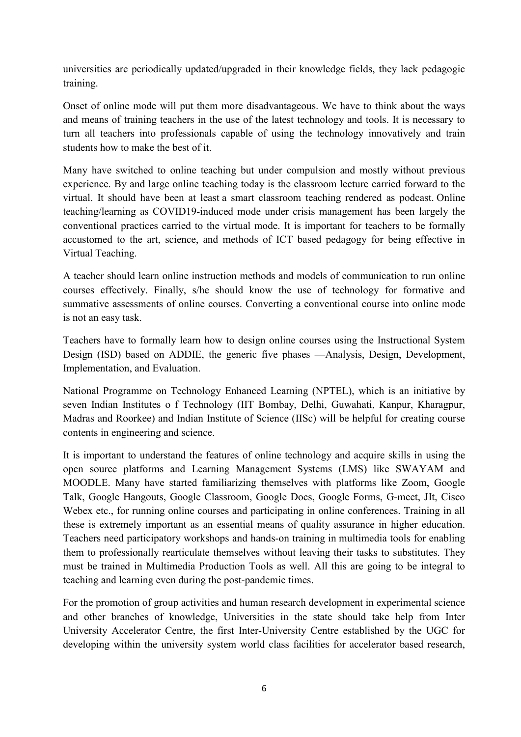universities are periodically updated/upgraded in their knowledge fields, they lack pedagogic training.

Onset of online mode will put them more disadvantageous. We have to think about the ways and means of training teachers in the use of the latest technology and tools. It is necessary to turn all teachers into professionals capable of using the technology innovatively and train students how to make the best of it.

Many have switched to online teaching but under compulsion and mostly without previous experience. By and large online teaching today is the classroom lecture carried forward to the virtual. It should have been at least a smart classroom teaching rendered as podcast. Online teaching/learning as COVID19-induced mode under crisis management has been largely the conventional practices carried to the virtual mode. It is important for teachers to be formally accustomed to the art, science, and methods of ICT based pedagogy for being effective in Virtual Teaching.

A teacher should learn online instruction methods and models of communication to run online courses effectively. Finally, s/he should know the use of technology for formative and summative assessments of online courses. Converting a conventional course into online mode is not an easy task.

Teachers have to formally learn how to design online courses using the Instructional System Design (ISD) based on ADDIE, the generic five phases —Analysis, Design, Development, Implementation, and Evaluation.

National Programme on Technology Enhanced Learning (NPTEL), which is an initiative by seven Indian Institutes o f Technology (IIT Bombay, Delhi, Guwahati, Kanpur, Kharagpur, Madras and Roorkee) and Indian Institute of Science (IISc) will be helpful for creating course contents in engineering and science.

It is important to understand the features of online technology and acquire skills in using the open source platforms and Learning Management Systems (LMS) like SWAYAM and MOODLE. Many have started familiarizing themselves with platforms like Zoom, Google Talk, Google Hangouts, Google Classroom, Google Docs, Google Forms, G-meet, JIt, Cisco Webex etc., for running online courses and participating in online conferences. Training in all these is extremely important as an essential means of quality assurance in higher education. Teachers need participatory workshops and hands-on training in multimedia tools for enabling them to professionally rearticulate themselves without leaving their tasks to substitutes. They must be trained in Multimedia Production Tools as well. All this are going to be integral to teaching and learning even during the post-pandemic times.

For the promotion of group activities and human research development in experimental science and other branches of knowledge, Universities in the state should take help from Inter University Accelerator Centre, the first Inter-University Centre established by the UGC for developing within the university system world class facilities for accelerator based research,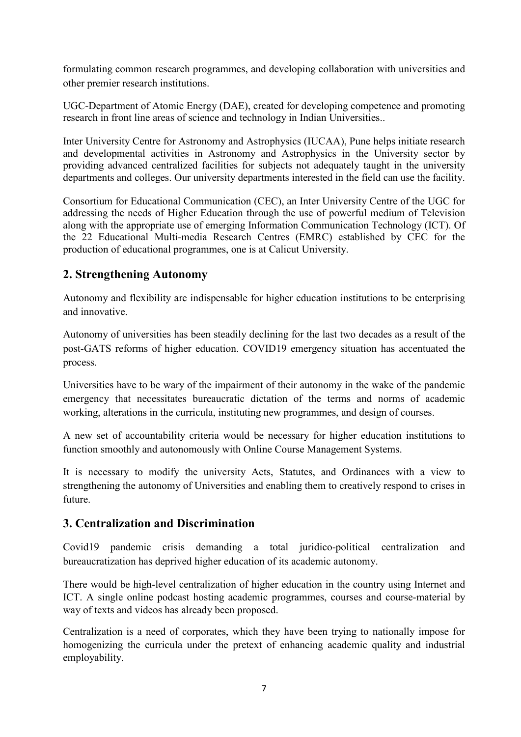formulating common research programmes, and developing collaboration with universities and other premier research institutions.

UGC-Department of Atomic Energy (DAE), created for developing competence and promoting research in front line areas of science and technology in Indian Universities..

Inter University Centre for Astronomy and Astrophysics (IUCAA), Pune helps initiate research and developmental activities in Astronomy and Astrophysics in the University sector by providing advanced centralized facilities for subjects not adequately taught in the university departments and colleges. Our university departments interested in the field can use the facility.

Consortium for Educational Communication (CEC), an Inter University Centre of the UGC for addressing the needs of Higher Education through the use of powerful medium of Television along with the appropriate use of emerging Information Communication Technology (ICT). Of the 22 Educational Multi-media Research Centres (EMRC) established by CEC for the production of educational programmes, one is at Calicut University.

# **2. Strengthening Autonomy**

Autonomy and flexibility are indispensable for higher education institutions to be enterprising and innovative.

Autonomy of universities has been steadily declining for the last two decades as a result of the post-GATS reforms of higher education. COVID19 emergency situation has accentuated the process.

Universities have to be wary of the impairment of their autonomy in the wake of the pandemic emergency that necessitates bureaucratic dictation of the terms and norms of academic working, alterations in the curricula, instituting new programmes, and design of courses.

A new set of accountability criteria would be necessary for higher education institutions to function smoothly and autonomously with Online Course Management Systems.

It is necessary to modify the university Acts, Statutes, and Ordinances with a view to strengthening the autonomy of Universities and enabling them to creatively respond to crises in future.

# **3. Centralization and Discrimination**

Covid19 pandemic crisis demanding a total juridico-political centralization and bureaucratization has deprived higher education of its academic autonomy.

There would be high-level centralization of higher education in the country using Internet and ICT. A single online podcast hosting academic programmes, courses and course-material by way of texts and videos has already been proposed.

Centralization is a need of corporates, which they have been trying to nationally impose for homogenizing the curricula under the pretext of enhancing academic quality and industrial employability.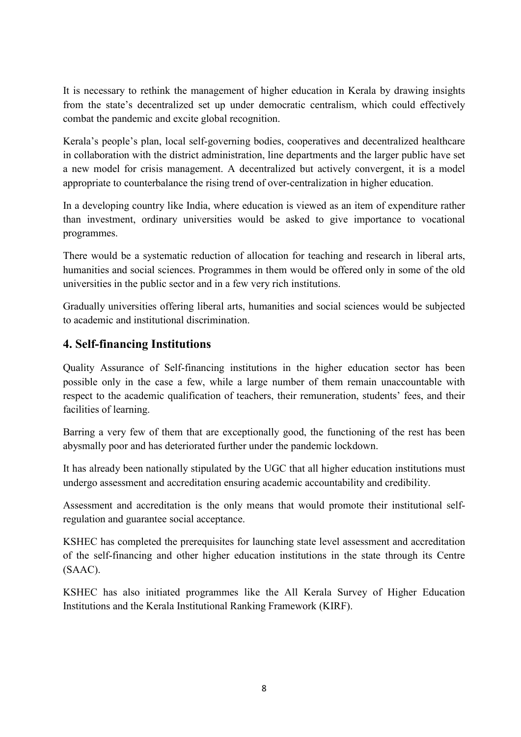It is necessary to rethink the management of higher education in Kerala by drawing insights from the state's decentralized set up under democratic centralism, which could effectively combat the pandemic and excite global recognition.

Kerala's people's plan, local self-governing bodies, cooperatives and decentralized healthcare in collaboration with the district administration, line departments and the larger public have set a new model for crisis management. A decentralized but actively convergent, it is a model appropriate to counterbalance the rising trend of over-centralization in higher education.

In a developing country like India, where education is viewed as an item of expenditure rather than investment, ordinary universities would be asked to give importance to vocational programmes.

There would be a systematic reduction of allocation for teaching and research in liberal arts, humanities and social sciences. Programmes in them would be offered only in some of the old universities in the public sector and in a few very rich institutions.

Gradually universities offering liberal arts, humanities and social sciences would be subjected to academic and institutional discrimination.

#### **4. Self-financing Institutions**

Quality Assurance of Self-financing institutions in the higher education sector has been possible only in the case a few, while a large number of them remain unaccountable with respect to the academic qualification of teachers, their remuneration, students' fees, and their facilities of learning.

Barring a very few of them that are exceptionally good, the functioning of the rest has been abysmally poor and has deteriorated further under the pandemic lockdown.

It has already been nationally stipulated by the UGC that all higher education institutions must undergo assessment and accreditation ensuring academic accountability and credibility.

Assessment and accreditation is the only means that would promote their institutional selfregulation and guarantee social acceptance.

KSHEC has completed the prerequisites for launching state level assessment and accreditation of the self-financing and other higher education institutions in the state through its Centre (SAAC).

KSHEC has also initiated programmes like the All Kerala Survey of Higher Education Institutions and the Kerala Institutional Ranking Framework (KIRF).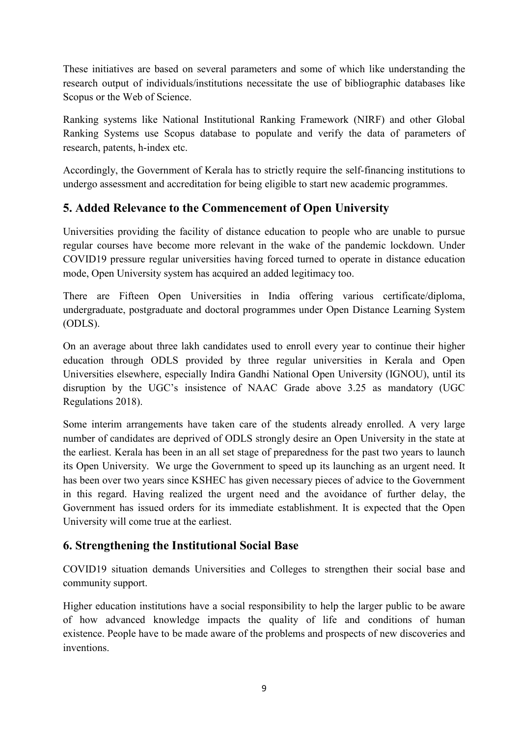These initiatives are based on several parameters and some of which like understanding the research output of individuals/institutions necessitate the use of bibliographic databases like Scopus or the Web of Science.

Ranking systems like National Institutional Ranking Framework (NIRF) and other Global Ranking Systems use Scopus database to populate and verify the data of parameters of research, patents, h-index etc.

Accordingly, the Government of Kerala has to strictly require the self-financing institutions to undergo assessment and accreditation for being eligible to start new academic programmes.

# **5. Added Relevance to the Commencement of Open University**

Universities providing the facility of distance education to people who are unable to pursue regular courses have become more relevant in the wake of the pandemic lockdown. Under COVID19 pressure regular universities having forced turned to operate in distance education mode, Open University system has acquired an added legitimacy too.

There are Fifteen Open Universities in India offering various certificate/diploma, undergraduate, postgraduate and doctoral programmes under Open Distance Learning System (ODLS).

On an average about three lakh candidates used to enroll every year to continue their higher education through ODLS provided by three regular universities in Kerala and Open Universities elsewhere, especially Indira Gandhi National Open University (IGNOU), until its disruption by the UGC's insistence of NAAC Grade above 3.25 as mandatory (UGC Regulations 2018).

Some interim arrangements have taken care of the students already enrolled. A very large number of candidates are deprived of ODLS strongly desire an Open University in the state at the earliest. Kerala has been in an all set stage of preparedness for the past two years to launch its Open University. We urge the Government to speed up its launching as an urgent need. It has been over two years since KSHEC has given necessary pieces of advice to the Government in this regard. Having realized the urgent need and the avoidance of further delay, the Government has issued orders for its immediate establishment. It is expected that the Open University will come true at the earliest.

# **6. Strengthening the Institutional Social Base**

COVID19 situation demands Universities and Colleges to strengthen their social base and community support.

Higher education institutions have a social responsibility to help the larger public to be aware of how advanced knowledge impacts the quality of life and conditions of human existence. People have to be made aware of the problems and prospects of new discoveries and inventions.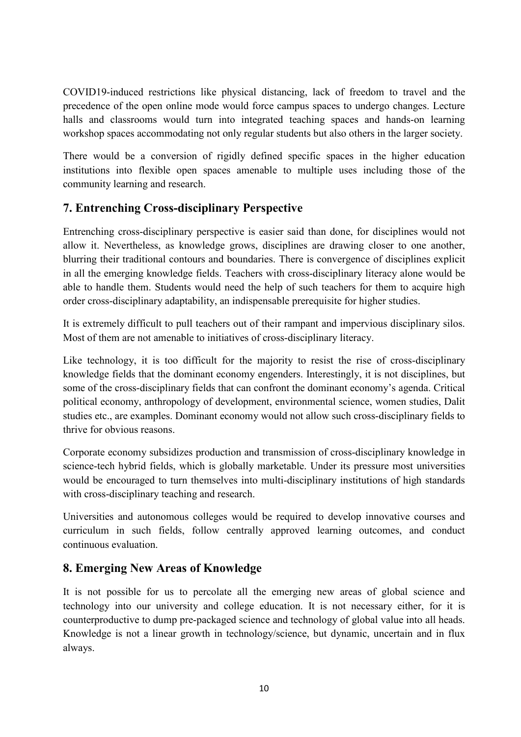COVID19-induced restrictions like physical distancing, lack of freedom to travel and the precedence of the open online mode would force campus spaces to undergo changes. Lecture halls and classrooms would turn into integrated teaching spaces and hands-on learning workshop spaces accommodating not only regular students but also others in the larger society.

There would be a conversion of rigidly defined specific spaces in the higher education institutions into flexible open spaces amenable to multiple uses including those of the community learning and research.

# **7. Entrenching Cross-disciplinary Perspective**

Entrenching cross-disciplinary perspective is easier said than done, for disciplines would not allow it. Nevertheless, as knowledge grows, disciplines are drawing closer to one another, blurring their traditional contours and boundaries. There is convergence of disciplines explicit in all the emerging knowledge fields. Teachers with cross-disciplinary literacy alone would be able to handle them. Students would need the help of such teachers for them to acquire high order cross-disciplinary adaptability, an indispensable prerequisite for higher studies.

It is extremely difficult to pull teachers out of their rampant and impervious disciplinary silos. Most of them are not amenable to initiatives of cross-disciplinary literacy.

Like technology, it is too difficult for the majority to resist the rise of cross-disciplinary knowledge fields that the dominant economy engenders. Interestingly, it is not disciplines, but some of the cross-disciplinary fields that can confront the dominant economy's agenda. Critical political economy, anthropology of development, environmental science, women studies, Dalit studies etc., are examples. Dominant economy would not allow such cross-disciplinary fields to thrive for obvious reasons.

Corporate economy subsidizes production and transmission of cross-disciplinary knowledge in science-tech hybrid fields, which is globally marketable. Under its pressure most universities would be encouraged to turn themselves into multi-disciplinary institutions of high standards with cross-disciplinary teaching and research.

Universities and autonomous colleges would be required to develop innovative courses and curriculum in such fields, follow centrally approved learning outcomes, and conduct continuous evaluation.

# **8. Emerging New Areas of Knowledge**

It is not possible for us to percolate all the emerging new areas of global science and technology into our university and college education. It is not necessary either, for it is counterproductive to dump pre-packaged science and technology of global value into all heads. Knowledge is not a linear growth in technology/science, but dynamic, uncertain and in flux always.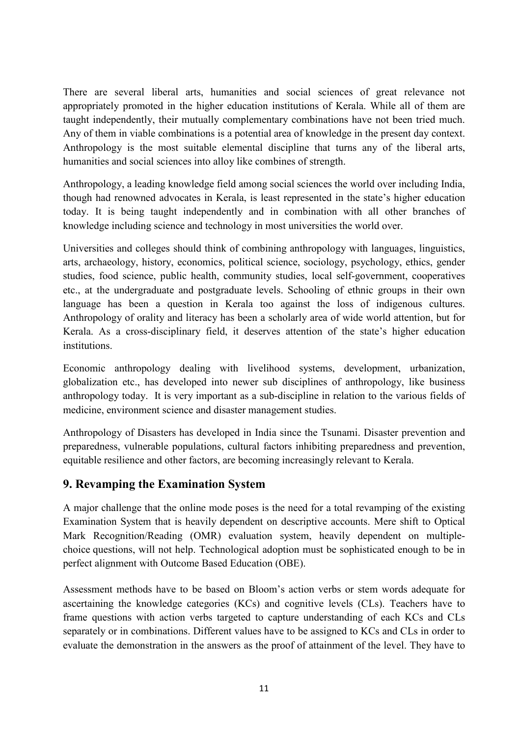There are several liberal arts, humanities and social sciences of great relevance not appropriately promoted in the higher education institutions of Kerala. While all of them are taught independently, their mutually complementary combinations have not been tried much. Any of them in viable combinations is a potential area of knowledge in the present day context. Anthropology is the most suitable elemental discipline that turns any of the liberal arts, humanities and social sciences into alloy like combines of strength.

Anthropology, a leading knowledge field among social sciences the world over including India, though had renowned advocates in Kerala, is least represented in the state's higher education today. It is being taught independently and in combination with all other branches of knowledge including science and technology in most universities the world over.

Universities and colleges should think of combining anthropology with languages, linguistics, arts, archaeology, history, economics, political science, sociology, psychology, ethics, gender studies, food science, public health, community studies, local self-government, cooperatives etc., at the undergraduate and postgraduate levels. Schooling of ethnic groups in their own language has been a question in Kerala too against the loss of indigenous cultures. Anthropology of orality and literacy has been a scholarly area of wide world attention, but for Kerala. As a cross-disciplinary field, it deserves attention of the state's higher education institutions.

Economic anthropology dealing with livelihood systems, development, urbanization, globalization etc., has developed into newer sub disciplines of anthropology, like business anthropology today. It is very important as a sub-discipline in relation to the various fields of medicine, environment science and disaster management studies.

Anthropology of Disasters has developed in India since the Tsunami. Disaster prevention and preparedness, vulnerable populations, cultural factors inhibiting preparedness and prevention, equitable resilience and other factors, are becoming increasingly relevant to Kerala.

# **9. Revamping the Examination System**

A major challenge that the online mode poses is the need for a total revamping of the existing Examination System that is heavily dependent on descriptive accounts. Mere shift to Optical Mark Recognition/Reading (OMR) evaluation system, heavily dependent on multiplechoice questions, will not help. Technological adoption must be sophisticated enough to be in perfect alignment with Outcome Based Education (OBE).

Assessment methods have to be based on Bloom's action verbs or stem words adequate for ascertaining the knowledge categories (KCs) and cognitive levels (CLs). Teachers have to frame questions with action verbs targeted to capture understanding of each KCs and CLs separately or in combinations. Different values have to be assigned to KCs and CLs in order to evaluate the demonstration in the answers as the proof of attainment of the level. They have to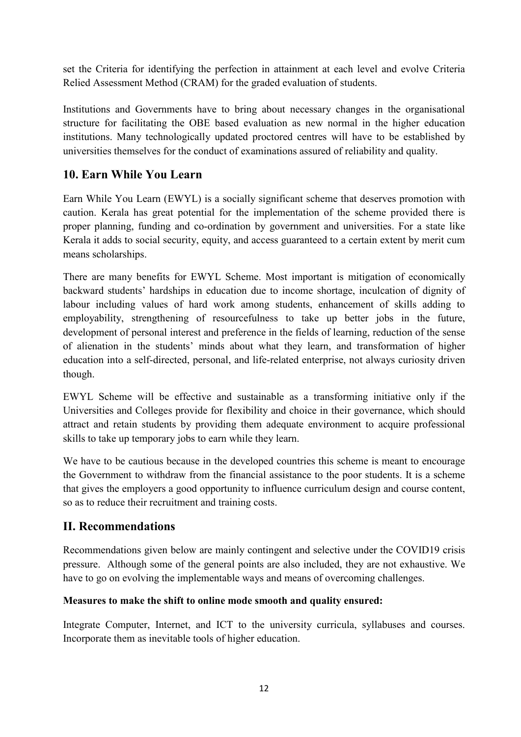set the Criteria for identifying the perfection in attainment at each level and evolve Criteria Relied Assessment Method (CRAM) for the graded evaluation of students.

Institutions and Governments have to bring about necessary changes in the organisational structure for facilitating the OBE based evaluation as new normal in the higher education institutions. Many technologically updated proctored centres will have to be established by universities themselves for the conduct of examinations assured of reliability and quality.

# **10. Earn While You Learn**

Earn While You Learn (EWYL) is a socially significant scheme that deserves promotion with caution. Kerala has great potential for the implementation of the scheme provided there is proper planning, funding and co-ordination by government and universities. For a state like Kerala it adds to social security, equity, and access guaranteed to a certain extent by merit cum means scholarships.

There are many benefits for EWYL Scheme. Most important is mitigation of economically backward students' hardships in education due to income shortage, inculcation of dignity of labour including values of hard work among students, enhancement of skills adding to employability, strengthening of resourcefulness to take up better jobs in the future, development of personal interest and preference in the fields of learning, reduction of the sense of alienation in the students' minds about what they learn, and transformation of higher education into a self-directed, personal, and life-related enterprise, not always curiosity driven though.

EWYL Scheme will be effective and sustainable as a transforming initiative only if the Universities and Colleges provide for flexibility and choice in their governance, which should attract and retain students by providing them adequate environment to acquire professional skills to take up temporary jobs to earn while they learn.

We have to be cautious because in the developed countries this scheme is meant to encourage the Government to withdraw from the financial assistance to the poor students. It is a scheme that gives the employers a good opportunity to influence curriculum design and course content, so as to reduce their recruitment and training costs.

# **II. Recommendations**

Recommendations given below are mainly contingent and selective under the COVID19 crisis pressure. Although some of the general points are also included, they are not exhaustive. We have to go on evolving the implementable ways and means of overcoming challenges.

#### **Measures to make the shift to online mode smooth and quality ensured:**

Integrate Computer, Internet, and ICT to the university curricula, syllabuses and courses. Incorporate them as inevitable tools of higher education.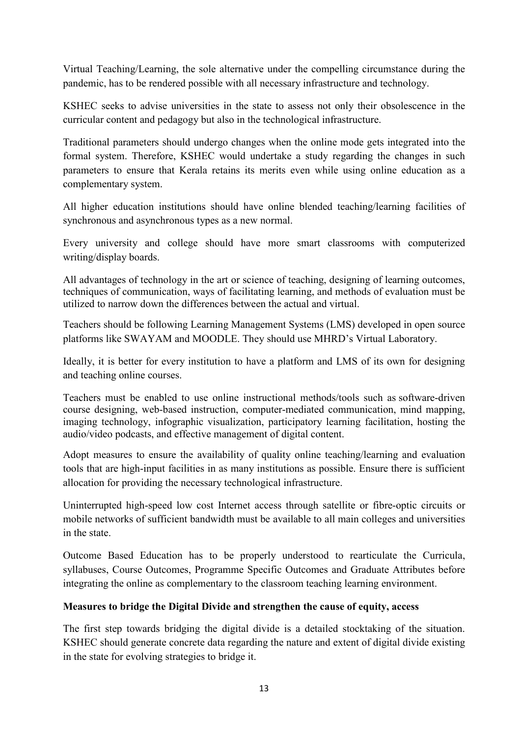Virtual Teaching/Learning, the sole alternative under the compelling circumstance during the pandemic, has to be rendered possible with all necessary infrastructure and technology.

KSHEC seeks to advise universities in the state to assess not only their obsolescence in the curricular content and pedagogy but also in the technological infrastructure.

Traditional parameters should undergo changes when the online mode gets integrated into the formal system. Therefore, KSHEC would undertake a study regarding the changes in such parameters to ensure that Kerala retains its merits even while using online education as a complementary system.

All higher education institutions should have online blended teaching/learning facilities of synchronous and asynchronous types as a new normal.

Every university and college should have more smart classrooms with computerized writing/display boards.

All advantages of technology in the art or science of teaching, designing of learning outcomes, techniques of communication, ways of facilitating learning, and methods of evaluation must be utilized to narrow down the differences between the actual and virtual.

Teachers should be following Learning Management Systems (LMS) developed in open source platforms like SWAYAM and MOODLE. They should use MHRD's Virtual Laboratory.

Ideally, it is better for every institution to have a platform and LMS of its own for designing and teaching online courses.

Teachers must be enabled to use online instructional methods/tools such as software-driven course designing, web-based instruction, computer-mediated communication, mind mapping, imaging technology, infographic visualization, participatory learning facilitation, hosting the audio/video podcasts, and effective management of digital content.

Adopt measures to ensure the availability of quality online teaching/learning and evaluation tools that are high-input facilities in as many institutions as possible. Ensure there is sufficient allocation for providing the necessary technological infrastructure.

Uninterrupted high-speed low cost Internet access through satellite or fibre-optic circuits or mobile networks of sufficient bandwidth must be available to all main colleges and universities in the state.

Outcome Based Education has to be properly understood to rearticulate the Curricula, syllabuses, Course Outcomes, Programme Specific Outcomes and Graduate Attributes before integrating the online as complementary to the classroom teaching learning environment.

#### **Measures to bridge the Digital Divide and strengthen the cause of equity, access**

The first step towards bridging the digital divide is a detailed stocktaking of the situation. KSHEC should generate concrete data regarding the nature and extent of digital divide existing in the state for evolving strategies to bridge it.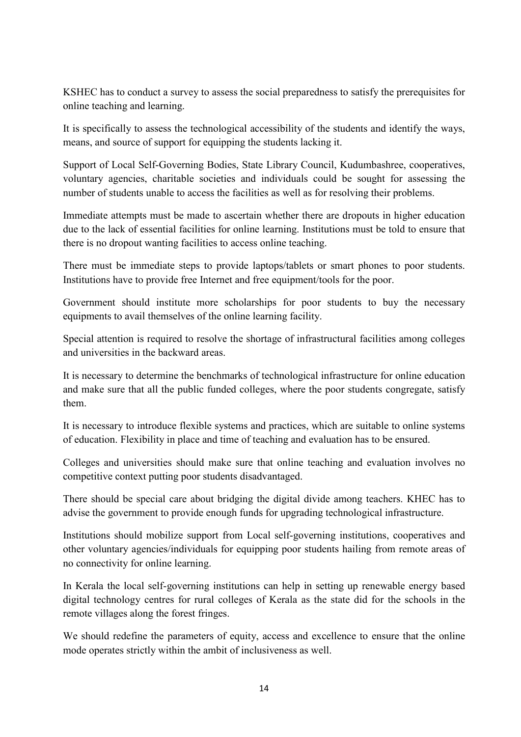KSHEC has to conduct a survey to assess the social preparedness to satisfy the prerequisites for online teaching and learning.

It is specifically to assess the technological accessibility of the students and identify the ways, means, and source of support for equipping the students lacking it.

Support of Local Self-Governing Bodies, State Library Council, Kudumbashree, cooperatives, voluntary agencies, charitable societies and individuals could be sought for assessing the number of students unable to access the facilities as well as for resolving their problems.

Immediate attempts must be made to ascertain whether there are dropouts in higher education due to the lack of essential facilities for online learning. Institutions must be told to ensure that there is no dropout wanting facilities to access online teaching.

There must be immediate steps to provide laptops/tablets or smart phones to poor students. Institutions have to provide free Internet and free equipment/tools for the poor.

Government should institute more scholarships for poor students to buy the necessary equipments to avail themselves of the online learning facility.

Special attention is required to resolve the shortage of infrastructural facilities among colleges and universities in the backward areas.

It is necessary to determine the benchmarks of technological infrastructure for online education and make sure that all the public funded colleges, where the poor students congregate, satisfy them.

It is necessary to introduce flexible systems and practices, which are suitable to online systems of education. Flexibility in place and time of teaching and evaluation has to be ensured.

Colleges and universities should make sure that online teaching and evaluation involves no competitive context putting poor students disadvantaged.

There should be special care about bridging the digital divide among teachers. KHEC has to advise the government to provide enough funds for upgrading technological infrastructure.

Institutions should mobilize support from Local self-governing institutions, cooperatives and other voluntary agencies/individuals for equipping poor students hailing from remote areas of no connectivity for online learning.

In Kerala the local self-governing institutions can help in setting up renewable energy based digital technology centres for rural colleges of Kerala as the state did for the schools in the remote villages along the forest fringes.

We should redefine the parameters of equity, access and excellence to ensure that the online mode operates strictly within the ambit of inclusiveness as well.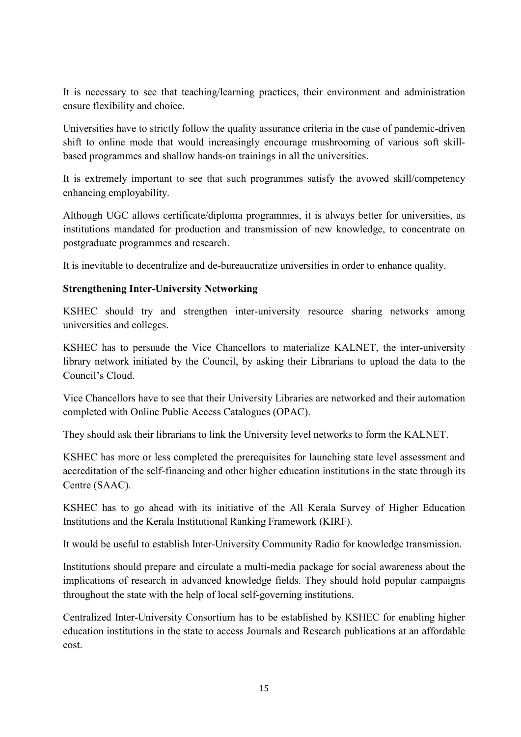It is necessary to see that teaching/learning practices, their environment and administration ensure flexibility and choice.

Universities have to strictly follow the quality assurance criteria in the case of pandemic-driven shift to online mode that would increasingly encourage mushrooming of various soft skillbased programmes and shallow hands-on trainings in all the universities.

It is extremely important to see that such programmes satisfy the avowed skill/competency enhancing employability.

Although UGC allows certificate/diploma programmes, it is always better for universities, as institutions mandated for production and transmission of new knowledge, to concentrate on postgraduate programmes and research.

It is inevitable to decentralize and de-bureaucratize universities in order to enhance quality.

#### **Strengthening Inter-University Networking**

KSHEC should try and strengthen inter-university resource sharing networks among universities and colleges.

KSHEC has to persuade the Vice Chancellors to materialize KALNET, the inter-university library network initiated by the Council, by asking their Librarians to upload the data to the Council's Cloud.

Vice Chancellors have to see that their University Libraries are networked and their automation completed with Online Public Access Catalogues (OPAC).

They should ask their librarians to link the University level networks to form the KALNET.

KSHEC has more or less completed the prerequisites for launching state level assessment and accreditation of the self-financing and other higher education institutions in the state through its Centre (SAAC).

KSHEC has to go ahead with its initiative of the All Kerala Survey of Higher Education Institutions and the Kerala Institutional Ranking Framework (KIRF).

It would be useful to establish Inter-University Community Radio for knowledge transmission.

Institutions should prepare and circulate a multi-media package for social awareness about the implications of research in advanced knowledge fields. They should hold popular campaigns throughout the state with the help of local self-governing institutions.

Centralized Inter-University Consortium has to be established by KSHEC for enabling higher education institutions in the state to access Journals and Research publications at an affordable cost.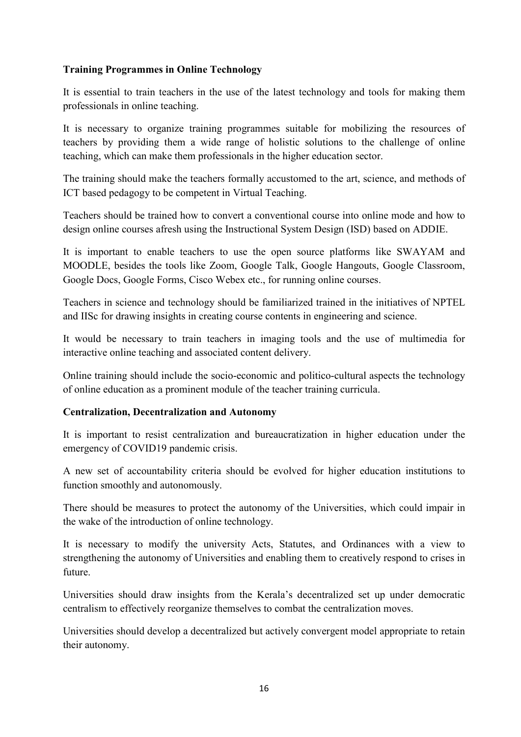#### **Training Programmes in Online Technology**

It is essential to train teachers in the use of the latest technology and tools for making them professionals in online teaching.

It is necessary to organize training programmes suitable for mobilizing the resources of teachers by providing them a wide range of holistic solutions to the challenge of online teaching, which can make them professionals in the higher education sector.

The training should make the teachers formally accustomed to the art, science, and methods of ICT based pedagogy to be competent in Virtual Teaching.

Teachers should be trained how to convert a conventional course into online mode and how to design online courses afresh using the Instructional System Design (ISD) based on ADDIE.

It is important to enable teachers to use the open source platforms like SWAYAM and MOODLE, besides the tools like Zoom, Google Talk, Google Hangouts, Google Classroom, Google Docs, Google Forms, Cisco Webex etc., for running online courses.

Teachers in science and technology should be familiarized trained in the initiatives of NPTEL and IISc for drawing insights in creating course contents in engineering and science.

It would be necessary to train teachers in imaging tools and the use of multimedia for interactive online teaching and associated content delivery.

Online training should include the socio-economic and politico-cultural aspects the technology of online education as a prominent module of the teacher training curricula.

#### **Centralization, Decentralization and Autonomy**

It is important to resist centralization and bureaucratization in higher education under the emergency of COVID19 pandemic crisis.

A new set of accountability criteria should be evolved for higher education institutions to function smoothly and autonomously.

There should be measures to protect the autonomy of the Universities, which could impair in the wake of the introduction of online technology.

It is necessary to modify the university Acts, Statutes, and Ordinances with a view to strengthening the autonomy of Universities and enabling them to creatively respond to crises in future.

Universities should draw insights from the Kerala's decentralized set up under democratic centralism to effectively reorganize themselves to combat the centralization moves.

Universities should develop a decentralized but actively convergent model appropriate to retain their autonomy.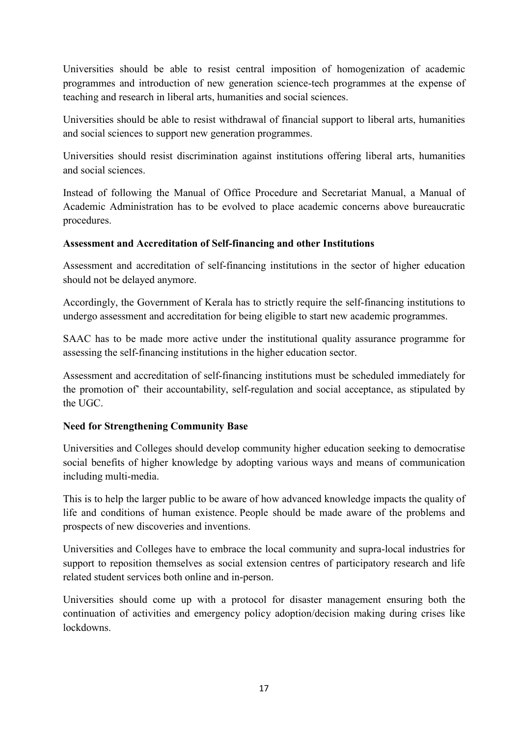Universities should be able to resist central imposition of homogenization of academic programmes and introduction of new generation science-tech programmes at the expense of teaching and research in liberal arts, humanities and social sciences.

Universities should be able to resist withdrawal of financial support to liberal arts, humanities and social sciences to support new generation programmes.

Universities should resist discrimination against institutions offering liberal arts, humanities and social sciences.

Instead of following the Manual of Office Procedure and Secretariat Manual, a Manual of Academic Administration has to be evolved to place academic concerns above bureaucratic procedures.

#### **Assessment and Accreditation of Self-financing and other Institutions**

Assessment and accreditation of self-financing institutions in the sector of higher education should not be delayed anymore.

Accordingly, the Government of Kerala has to strictly require the self-financing institutions to undergo assessment and accreditation for being eligible to start new academic programmes.

SAAC has to be made more active under the institutional quality assurance programme for assessing the self-financing institutions in the higher education sector.

Assessment and accreditation of self-financing institutions must be scheduled immediately for the promotion of' their accountability, self-regulation and social acceptance, as stipulated by the UGC.

#### **Need for Strengthening Community Base**

Universities and Colleges should develop community higher education seeking to democratise social benefits of higher knowledge by adopting various ways and means of communication including multi-media.

This is to help the larger public to be aware of how advanced knowledge impacts the quality of life and conditions of human existence. People should be made aware of the problems and prospects of new discoveries and inventions.

Universities and Colleges have to embrace the local community and supra-local industries for support to reposition themselves as social extension centres of participatory research and life related student services both online and in-person.

Universities should come up with a protocol for disaster management ensuring both the continuation of activities and emergency policy adoption/decision making during crises like lockdowns.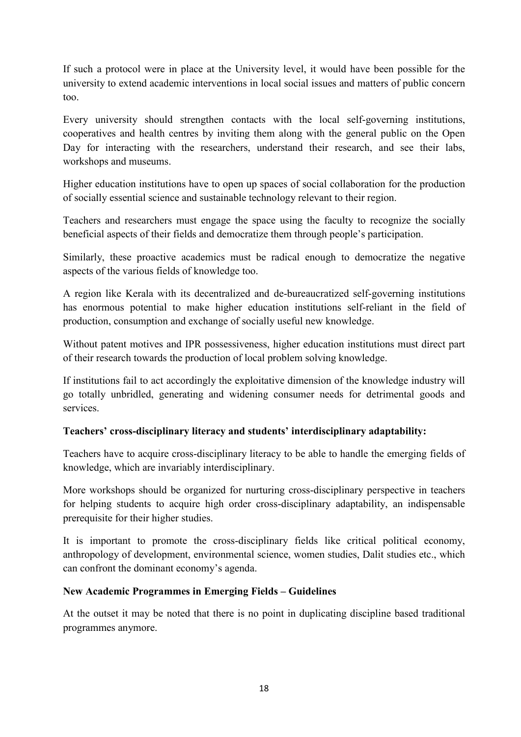If such a protocol were in place at the University level, it would have been possible for the university to extend academic interventions in local social issues and matters of public concern too.

Every university should strengthen contacts with the local self-governing institutions, cooperatives and health centres by inviting them along with the general public on the Open Day for interacting with the researchers, understand their research, and see their labs, workshops and museums.

Higher education institutions have to open up spaces of social collaboration for the production of socially essential science and sustainable technology relevant to their region.

Teachers and researchers must engage the space using the faculty to recognize the socially beneficial aspects of their fields and democratize them through people's participation.

Similarly, these proactive academics must be radical enough to democratize the negative aspects of the various fields of knowledge too.

A region like Kerala with its decentralized and de-bureaucratized self-governing institutions has enormous potential to make higher education institutions self-reliant in the field of production, consumption and exchange of socially useful new knowledge.

Without patent motives and IPR possessiveness, higher education institutions must direct part of their research towards the production of local problem solving knowledge.

If institutions fail to act accordingly the exploitative dimension of the knowledge industry will go totally unbridled, generating and widening consumer needs for detrimental goods and services.

#### **Teachers' cross-disciplinary literacy and students' interdisciplinary adaptability:**

Teachers have to acquire cross-disciplinary literacy to be able to handle the emerging fields of knowledge, which are invariably interdisciplinary.

More workshops should be organized for nurturing cross-disciplinary perspective in teachers for helping students to acquire high order cross-disciplinary adaptability, an indispensable prerequisite for their higher studies.

It is important to promote the cross-disciplinary fields like critical political economy, anthropology of development, environmental science, women studies, Dalit studies etc., which can confront the dominant economy's agenda.

#### **New Academic Programmes in Emerging Fields – Guidelines**

At the outset it may be noted that there is no point in duplicating discipline based traditional programmes anymore.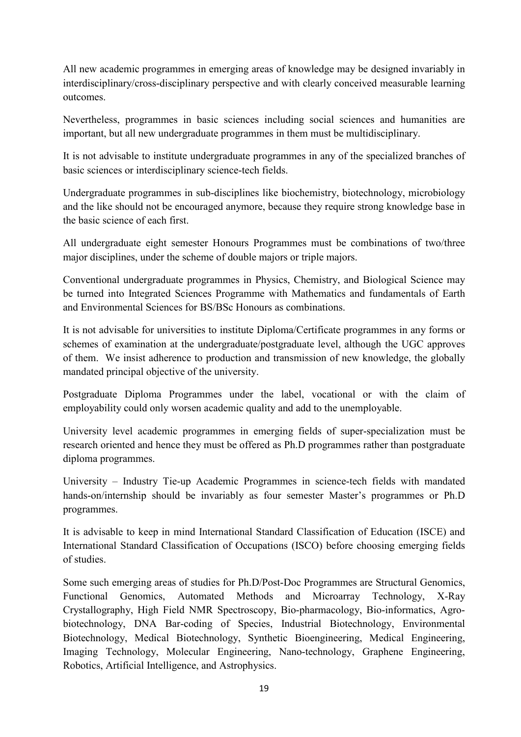All new academic programmes in emerging areas of knowledge may be designed invariably in interdisciplinary/cross-disciplinary perspective and with clearly conceived measurable learning outcomes.

Nevertheless, programmes in basic sciences including social sciences and humanities are important, but all new undergraduate programmes in them must be multidisciplinary.

It is not advisable to institute undergraduate programmes in any of the specialized branches of basic sciences or interdisciplinary science-tech fields.

Undergraduate programmes in sub-disciplines like biochemistry, biotechnology, microbiology and the like should not be encouraged anymore, because they require strong knowledge base in the basic science of each first.

All undergraduate eight semester Honours Programmes must be combinations of two/three major disciplines, under the scheme of double majors or triple majors.

Conventional undergraduate programmes in Physics, Chemistry, and Biological Science may be turned into Integrated Sciences Programme with Mathematics and fundamentals of Earth and Environmental Sciences for BS/BSc Honours as combinations.

It is not advisable for universities to institute Diploma/Certificate programmes in any forms or schemes of examination at the undergraduate/postgraduate level, although the UGC approves of them. We insist adherence to production and transmission of new knowledge, the globally mandated principal objective of the university.

Postgraduate Diploma Programmes under the label, vocational or with the claim of employability could only worsen academic quality and add to the unemployable.

University level academic programmes in emerging fields of super-specialization must be research oriented and hence they must be offered as Ph.D programmes rather than postgraduate diploma programmes.

University – Industry Tie-up Academic Programmes in science-tech fields with mandated hands-on/internship should be invariably as four semester Master's programmes or Ph.D programmes.

It is advisable to keep in mind International Standard Classification of Education (ISCE) and International Standard Classification of Occupations (ISCO) before choosing emerging fields of studies.

Some such emerging areas of studies for Ph.D/Post-Doc Programmes are Structural Genomics, Functional Genomics, Automated Methods and Microarray Technology, X-Ray Crystallography, High Field NMR Spectroscopy, Bio-pharmacology, Bio-informatics, Agrobiotechnology, DNA Bar-coding of Species, Industrial Biotechnology, Environmental Biotechnology, Medical Biotechnology, Synthetic Bioengineering, Medical Engineering, Imaging Technology, Molecular Engineering, Nano-technology, Graphene Engineering, Robotics, Artificial Intelligence, and Astrophysics.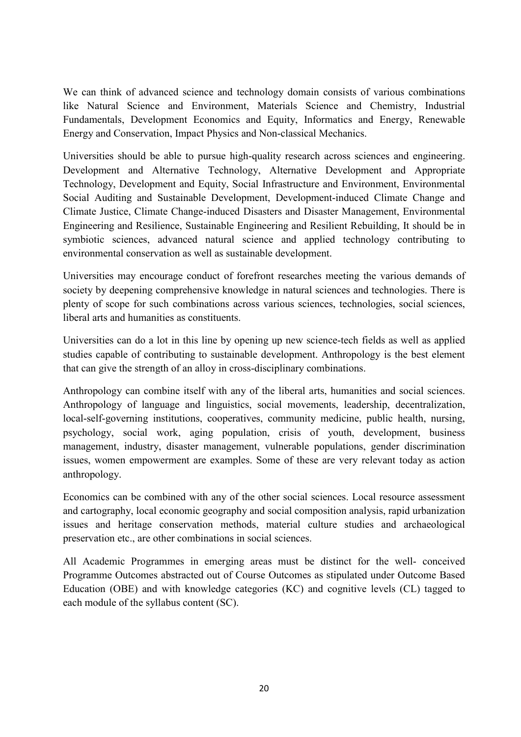We can think of advanced science and technology domain consists of various combinations like Natural Science and Environment, Materials Science and Chemistry, Industrial Fundamentals, Development Economics and Equity, Informatics and Energy, Renewable Energy and Conservation, Impact Physics and Non-classical Mechanics.

Universities should be able to pursue high-quality research across sciences and engineering. Development and Alternative Technology, Alternative Development and Appropriate Technology, Development and Equity, Social Infrastructure and Environment, Environmental Social Auditing and Sustainable Development, Development-induced Climate Change and Climate Justice, Climate Change-induced Disasters and Disaster Management, Environmental Engineering and Resilience, Sustainable Engineering and Resilient Rebuilding, It should be in symbiotic sciences, advanced natural science and applied technology contributing to environmental conservation as well as sustainable development.

Universities may encourage conduct of forefront researches meeting the various demands of society by deepening comprehensive knowledge in natural sciences and technologies. There is plenty of scope for such combinations across various sciences, technologies, social sciences, liberal arts and humanities as constituents.

Universities can do a lot in this line by opening up new science-tech fields as well as applied studies capable of contributing to sustainable development. Anthropology is the best element that can give the strength of an alloy in cross-disciplinary combinations.

Anthropology can combine itself with any of the liberal arts, humanities and social sciences. Anthropology of language and linguistics, social movements, leadership, decentralization, local-self-governing institutions, cooperatives, community medicine, public health, nursing, psychology, social work, aging population, crisis of youth, development, business management, industry, disaster management, vulnerable populations, gender discrimination issues, women empowerment are examples. Some of these are very relevant today as action anthropology.

Economics can be combined with any of the other social sciences. Local resource assessment and cartography, local economic geography and social composition analysis, rapid urbanization issues and heritage conservation methods, material culture studies and archaeological preservation etc., are other combinations in social sciences.

All Academic Programmes in emerging areas must be distinct for the well- conceived Programme Outcomes abstracted out of Course Outcomes as stipulated under Outcome Based Education (OBE) and with knowledge categories (KC) and cognitive levels (CL) tagged to each module of the syllabus content (SC).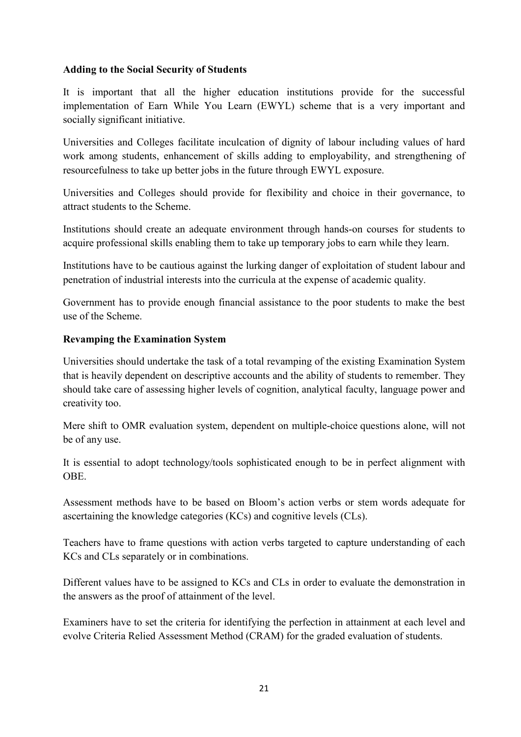#### **Adding to the Social Security of Students**

It is important that all the higher education institutions provide for the successful implementation of Earn While You Learn (EWYL) scheme that is a very important and socially significant initiative.

Universities and Colleges facilitate inculcation of dignity of labour including values of hard work among students, enhancement of skills adding to employability, and strengthening of resourcefulness to take up better jobs in the future through EWYL exposure.

Universities and Colleges should provide for flexibility and choice in their governance, to attract students to the Scheme.

Institutions should create an adequate environment through hands-on courses for students to acquire professional skills enabling them to take up temporary jobs to earn while they learn.

Institutions have to be cautious against the lurking danger of exploitation of student labour and penetration of industrial interests into the curricula at the expense of academic quality.

Government has to provide enough financial assistance to the poor students to make the best use of the Scheme.

#### **Revamping the Examination System**

Universities should undertake the task of a total revamping of the existing Examination System that is heavily dependent on descriptive accounts and the ability of students to remember. They should take care of assessing higher levels of cognition, analytical faculty, language power and creativity too.

Mere shift to OMR evaluation system, dependent on multiple-choice questions alone, will not be of any use.

It is essential to adopt technology/tools sophisticated enough to be in perfect alignment with **OBE** 

Assessment methods have to be based on Bloom's action verbs or stem words adequate for ascertaining the knowledge categories (KCs) and cognitive levels (CLs).

Teachers have to frame questions with action verbs targeted to capture understanding of each KCs and CLs separately or in combinations.

Different values have to be assigned to KCs and CLs in order to evaluate the demonstration in the answers as the proof of attainment of the level.

Examiners have to set the criteria for identifying the perfection in attainment at each level and evolve Criteria Relied Assessment Method (CRAM) for the graded evaluation of students.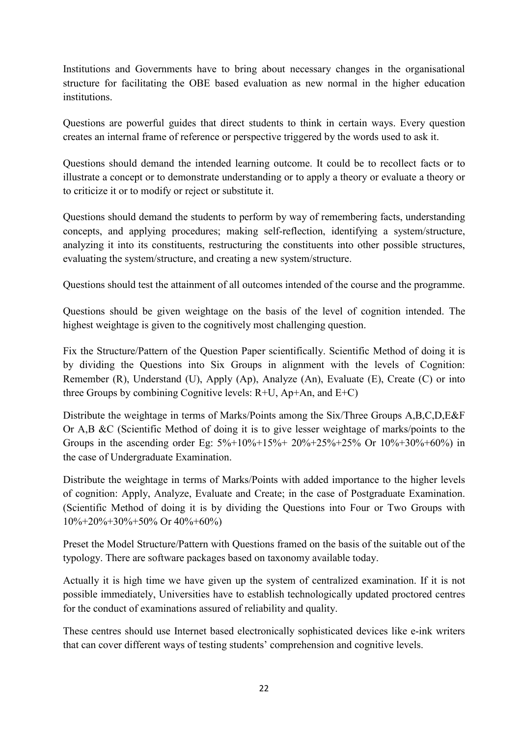Institutions and Governments have to bring about necessary changes in the organisational structure for facilitating the OBE based evaluation as new normal in the higher education institutions.

Questions are powerful guides that direct students to think in certain ways. Every question creates an internal frame of reference or perspective triggered by the words used to ask it.

Questions should demand the intended learning outcome. It could be to recollect facts or to illustrate a concept or to demonstrate understanding or to apply a theory or evaluate a theory or to criticize it or to modify or reject or substitute it.

Questions should demand the students to perform by way of remembering facts, understanding concepts, and applying procedures; making self-reflection, identifying a system/structure, analyzing it into its constituents, restructuring the constituents into other possible structures, evaluating the system/structure, and creating a new system/structure.

Questions should test the attainment of all outcomes intended of the course and the programme.

Questions should be given weightage on the basis of the level of cognition intended. The highest weightage is given to the cognitively most challenging question.

Fix the Structure/Pattern of the Question Paper scientifically. Scientific Method of doing it is by dividing the Questions into Six Groups in alignment with the levels of Cognition: Remember (R), Understand (U), Apply (Ap), Analyze (An), Evaluate (E), Create (C) or into three Groups by combining Cognitive levels: R+U, Ap+An, and E+C)

Distribute the weightage in terms of Marks/Points among the Six/Three Groups A,B,C,D,E&F Or A,B &C (Scientific Method of doing it is to give lesser weightage of marks/points to the Groups in the ascending order Eg: 5%+10%+15%+ 20%+25%+25% Or 10%+30%+60%) in the case of Undergraduate Examination.

Distribute the weightage in terms of Marks/Points with added importance to the higher levels of cognition: Apply, Analyze, Evaluate and Create; in the case of Postgraduate Examination. (Scientific Method of doing it is by dividing the Questions into Four or Two Groups with 10%+20%+30%+50% Or 40%+60%)

Preset the Model Structure/Pattern with Questions framed on the basis of the suitable out of the typology. There are software packages based on taxonomy available today.

Actually it is high time we have given up the system of centralized examination. If it is not possible immediately, Universities have to establish technologically updated proctored centres for the conduct of examinations assured of reliability and quality.

These centres should use Internet based electronically sophisticated devices like e-ink writers that can cover different ways of testing students' comprehension and cognitive levels.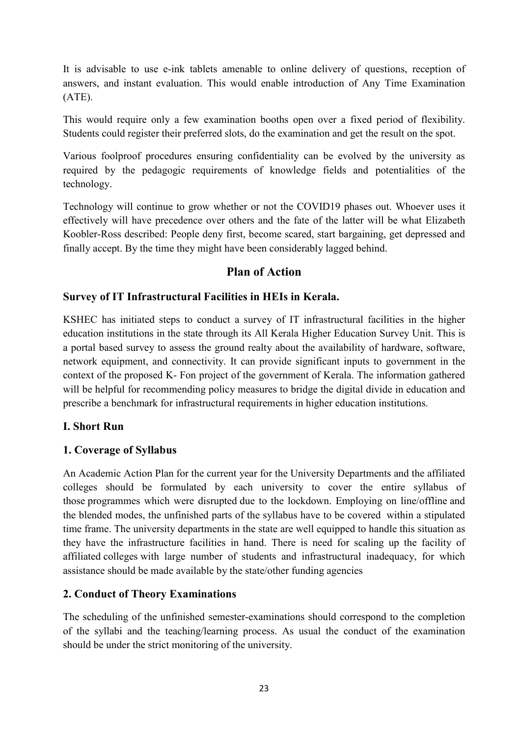It is advisable to use e-ink tablets amenable to online delivery of questions, reception of answers, and instant evaluation. This would enable introduction of Any Time Examination (ATE).

This would require only a few examination booths open over a fixed period of flexibility. Students could register their preferred slots, do the examination and get the result on the spot.

Various foolproof procedures ensuring confidentiality can be evolved by the university as required by the pedagogic requirements of knowledge fields and potentialities of the technology.

Technology will continue to grow whether or not the COVID19 phases out. Whoever uses it effectively will have precedence over others and the fate of the latter will be what Elizabeth Koobler-Ross described: People deny first, become scared, start bargaining, get depressed and finally accept. By the time they might have been considerably lagged behind.

#### **Plan of Action**

#### **Survey of IT Infrastructural Facilities in HEIs in Kerala.**

KSHEC has initiated steps to conduct a survey of IT infrastructural facilities in the higher education institutions in the state through its All Kerala Higher Education Survey Unit. This is a portal based survey to assess the ground realty about the availability of hardware, software, network equipment, and connectivity. It can provide significant inputs to government in the context of the proposed K- Fon project of the government of Kerala. The information gathered will be helpful for recommending policy measures to bridge the digital divide in education and prescribe a benchmark for infrastructural requirements in higher education institutions.

#### **I. Short Run**

#### **1. Coverage of Syllabus**

An Academic Action Plan for the current year for the University Departments and the affiliated colleges should be formulated by each university to cover the entire syllabus of those programmes which were disrupted due to the lockdown. Employing on line/offline and the blended modes, the unfinished parts of the syllabus have to be covered within a stipulated time frame. The university departments in the state are well equipped to handle this situation as they have the infrastructure facilities in hand. There is need for scaling up the facility of affiliated colleges with large number of students and infrastructural inadequacy, for which assistance should be made available by the state/other funding agencies

#### **2. Conduct of Theory Examinations**

The scheduling of the unfinished semester-examinations should correspond to the completion of the syllabi and the teaching/learning process. As usual the conduct of the examination should be under the strict monitoring of the university.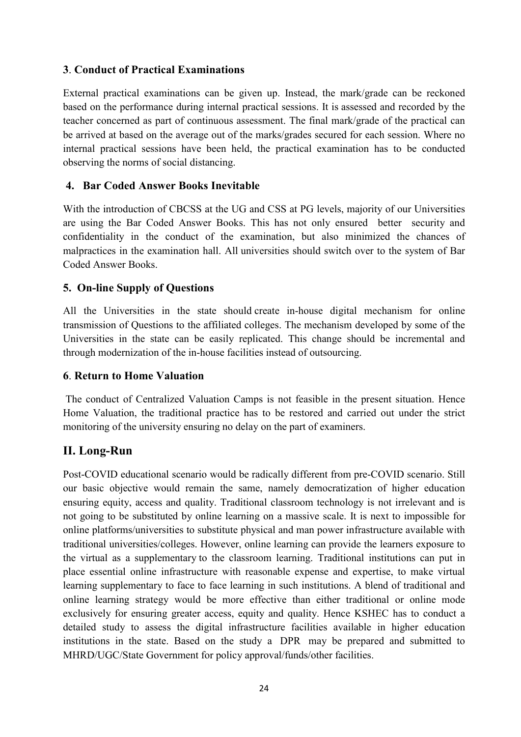#### **3**. **Conduct of Practical Examinations**

External practical examinations can be given up. Instead, the mark/grade can be reckoned based on the performance during internal practical sessions. It is assessed and recorded by the teacher concerned as part of continuous assessment. The final mark/grade of the practical can be arrived at based on the average out of the marks/grades secured for each session. Where no internal practical sessions have been held, the practical examination has to be conducted observing the norms of social distancing.

#### **4. Bar Coded Answer Books Inevitable**

With the introduction of CBCSS at the UG and CSS at PG levels, majority of our Universities are using the Bar Coded Answer Books. This has not only ensured better security and confidentiality in the conduct of the examination, but also minimized the chances of malpractices in the examination hall. All universities should switch over to the system of Bar Coded Answer Books.

#### **5. On-line Supply of Questions**

All the Universities in the state should create in-house digital mechanism for online transmission of Questions to the affiliated colleges. The mechanism developed by some of the Universities in the state can be easily replicated. This change should be incremental and through modernization of the in-house facilities instead of outsourcing.

#### **6**. **Return to Home Valuation**

 The conduct of Centralized Valuation Camps is not feasible in the present situation. Hence Home Valuation, the traditional practice has to be restored and carried out under the strict monitoring of the university ensuring no delay on the part of examiners.

# **II. Long-Run**

Post-COVID educational scenario would be radically different from pre-COVID scenario. Still our basic objective would remain the same, namely democratization of higher education ensuring equity, access and quality. Traditional classroom technology is not irrelevant and is not going to be substituted by online learning on a massive scale. It is next to impossible for online platforms/universities to substitute physical and man power infrastructure available with traditional universities/colleges. However, online learning can provide the learners exposure to the virtual as a supplementary to the classroom learning. Traditional institutions can put in place essential online infrastructure with reasonable expense and expertise, to make virtual learning supplementary to face to face learning in such institutions. A blend of traditional and online learning strategy would be more effective than either traditional or online mode exclusively for ensuring greater access, equity and quality. Hence KSHEC has to conduct a detailed study to assess the digital infrastructure facilities available in higher education institutions in the state. Based on the study a DPR may be prepared and submitted to MHRD/UGC/State Government for policy approval/funds/other facilities.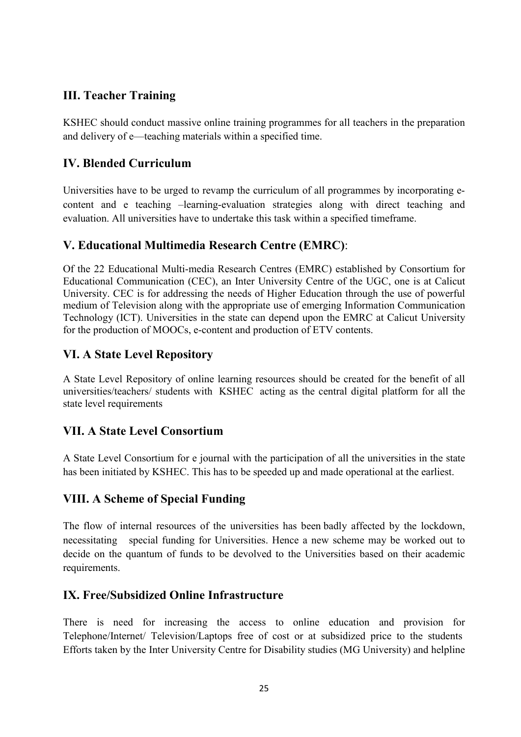# **III. Teacher Training**

KSHEC should conduct massive online training programmes for all teachers in the preparation and delivery of e—teaching materials within a specified time.

# **IV. Blended Curriculum**

Universities have to be urged to revamp the curriculum of all programmes by incorporating econtent and e teaching –learning-evaluation strategies along with direct teaching and evaluation. All universities have to undertake this task within a specified timeframe.

# **V. Educational Multimedia Research Centre (EMRC)**:

Of the 22 Educational Multi-media Research Centres (EMRC) established by Consortium for Educational Communication (CEC), an Inter University Centre of the UGC, one is at Calicut University. CEC is for addressing the needs of Higher Education through the use of powerful medium of Television along with the appropriate use of emerging Information Communication Technology (ICT). Universities in the state can depend upon the EMRC at Calicut University for the production of MOOCs, e-content and production of ETV contents.

# **VI. A State Level Repository**

A State Level Repository of online learning resources should be created for the benefit of all universities/teachers/ students with KSHEC acting as the central digital platform for all the state level requirements

# **VII. A State Level Consortium**

A State Level Consortium for e journal with the participation of all the universities in the state has been initiated by KSHEC. This has to be speeded up and made operational at the earliest.

# **VIII. A Scheme of Special Funding**

The flow of internal resources of the universities has been badly affected by the lockdown, necessitating special funding for Universities. Hence a new scheme may be worked out to decide on the quantum of funds to be devolved to the Universities based on their academic requirements.

# **IX. Free/Subsidized Online Infrastructure**

There is need for increasing the access to online education and provision for Telephone/Internet/ Television/Laptops free of cost or at subsidized price to the students Efforts taken by the Inter University Centre for Disability studies (MG University) and helpline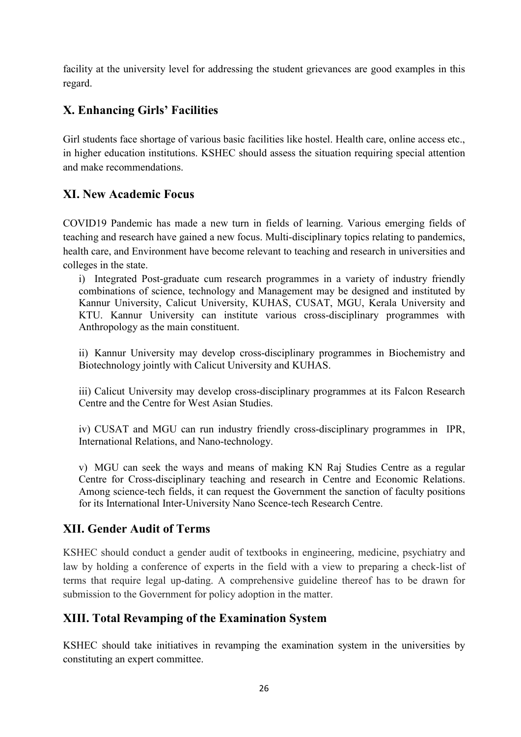facility at the university level for addressing the student grievances are good examples in this regard.

# **X. Enhancing Girls' Facilities**

Girl students face shortage of various basic facilities like hostel. Health care, online access etc., in higher education institutions. KSHEC should assess the situation requiring special attention and make recommendations.

# **XI. New Academic Focus**

COVID19 Pandemic has made a new turn in fields of learning. Various emerging fields of teaching and research have gained a new focus. Multi-disciplinary topics relating to pandemics, health care, and Environment have become relevant to teaching and research in universities and colleges in the state.

i) Integrated Post-graduate cum research programmes in a variety of industry friendly combinations of science, technology and Management may be designed and instituted by Kannur University, Calicut University, KUHAS, CUSAT, MGU, Kerala University and KTU. Kannur University can institute various cross-disciplinary programmes with Anthropology as the main constituent.

ii) Kannur University may develop cross-disciplinary programmes in Biochemistry and Biotechnology jointly with Calicut University and KUHAS.

iii) Calicut University may develop cross-disciplinary programmes at its Falcon Research Centre and the Centre for West Asian Studies.

iv) CUSAT and MGU can run industry friendly cross-disciplinary programmes in IPR, International Relations, and Nano-technology.

v) MGU can seek the ways and means of making KN Raj Studies Centre as a regular Centre for Cross-disciplinary teaching and research in Centre and Economic Relations. Among science-tech fields, it can request the Government the sanction of faculty positions for its International Inter-University Nano Scence-tech Research Centre.

# **XII. Gender Audit of Terms**

KSHEC should conduct a gender audit of textbooks in engineering, medicine, psychiatry and law by holding a conference of experts in the field with a view to preparing a check-list of terms that require legal up-dating. A comprehensive guideline thereof has to be drawn for submission to the Government for policy adoption in the matter.

# **XIII. Total Revamping of the Examination System**

KSHEC should take initiatives in revamping the examination system in the universities by constituting an expert committee.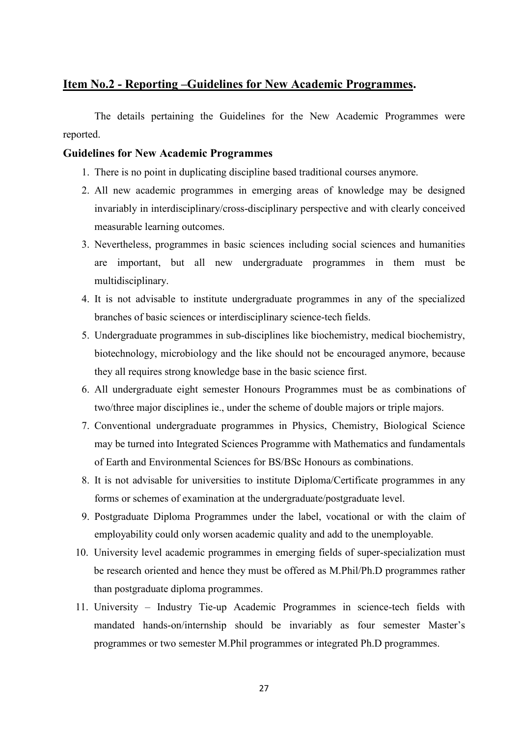#### **Item No.2 - Reporting –Guidelines for New Academic Programmes.**

 The details pertaining the Guidelines for the New Academic Programmes were reported.

#### **Guidelines for New Academic Programmes**

- 1. There is no point in duplicating discipline based traditional courses anymore.
- 2. All new academic programmes in emerging areas of knowledge may be designed invariably in interdisciplinary/cross-disciplinary perspective and with clearly conceived measurable learning outcomes.
- 3. Nevertheless, programmes in basic sciences including social sciences and humanities are important, but all new undergraduate programmes in them must be multidisciplinary.
- 4. It is not advisable to institute undergraduate programmes in any of the specialized branches of basic sciences or interdisciplinary science-tech fields.
- 5. Undergraduate programmes in sub-disciplines like biochemistry, medical biochemistry, biotechnology, microbiology and the like should not be encouraged anymore, because they all requires strong knowledge base in the basic science first.
- 6. All undergraduate eight semester Honours Programmes must be as combinations of two/three major disciplines ie., under the scheme of double majors or triple majors.
- 7. Conventional undergraduate programmes in Physics, Chemistry, Biological Science may be turned into Integrated Sciences Programme with Mathematics and fundamentals of Earth and Environmental Sciences for BS/BSc Honours as combinations.
- 8. It is not advisable for universities to institute Diploma/Certificate programmes in any forms or schemes of examination at the undergraduate/postgraduate level.
- 9. Postgraduate Diploma Programmes under the label, vocational or with the claim of employability could only worsen academic quality and add to the unemployable.
- 10. University level academic programmes in emerging fields of super-specialization must be research oriented and hence they must be offered as M.Phil/Ph.D programmes rather than postgraduate diploma programmes.
- 11. University Industry Tie-up Academic Programmes in science-tech fields with mandated hands-on/internship should be invariably as four semester Master's programmes or two semester M.Phil programmes or integrated Ph.D programmes.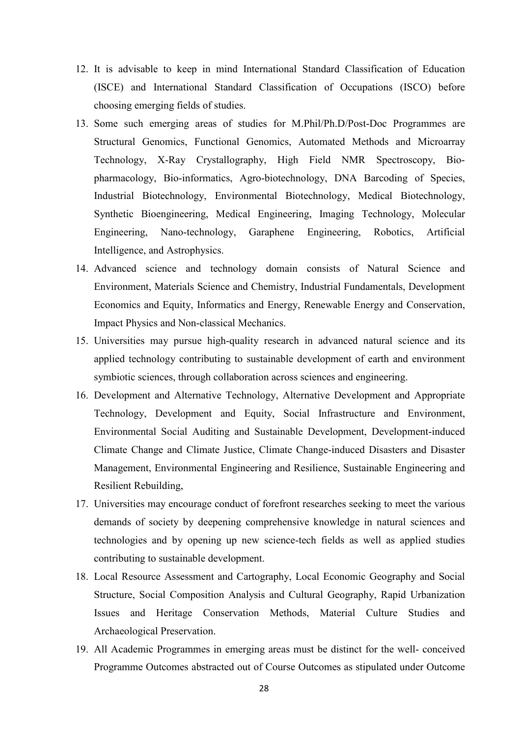- 12. It is advisable to keep in mind International Standard Classification of Education (ISCE) and International Standard Classification of Occupations (ISCO) before choosing emerging fields of studies.
- 13. Some such emerging areas of studies for M.Phil/Ph.D/Post-Doc Programmes are Structural Genomics, Functional Genomics, Automated Methods and Microarray Technology, X-Ray Crystallography, High Field NMR Spectroscopy, Biopharmacology, Bio-informatics, Agro-biotechnology, DNA Barcoding of Species, Industrial Biotechnology, Environmental Biotechnology, Medical Biotechnology, Synthetic Bioengineering, Medical Engineering, Imaging Technology, Molecular Engineering, Nano-technology, Garaphene Engineering, Robotics, Artificial Intelligence, and Astrophysics.
- 14. Advanced science and technology domain consists of Natural Science and Environment, Materials Science and Chemistry, Industrial Fundamentals, Development Economics and Equity, Informatics and Energy, Renewable Energy and Conservation, Impact Physics and Non-classical Mechanics.
- 15. Universities may pursue high-quality research in advanced natural science and its applied technology contributing to sustainable development of earth and environment symbiotic sciences, through collaboration across sciences and engineering.
- 16. Development and Alternative Technology, Alternative Development and Appropriate Technology, Development and Equity, Social Infrastructure and Environment, Environmental Social Auditing and Sustainable Development, Development-induced Climate Change and Climate Justice, Climate Change-induced Disasters and Disaster Management, Environmental Engineering and Resilience, Sustainable Engineering and Resilient Rebuilding,
- 17. Universities may encourage conduct of forefront researches seeking to meet the various demands of society by deepening comprehensive knowledge in natural sciences and technologies and by opening up new science-tech fields as well as applied studies contributing to sustainable development.
- 18. Local Resource Assessment and Cartography, Local Economic Geography and Social Structure, Social Composition Analysis and Cultural Geography, Rapid Urbanization Issues and Heritage Conservation Methods, Material Culture Studies and Archaeological Preservation.
- 19. All Academic Programmes in emerging areas must be distinct for the well- conceived Programme Outcomes abstracted out of Course Outcomes as stipulated under Outcome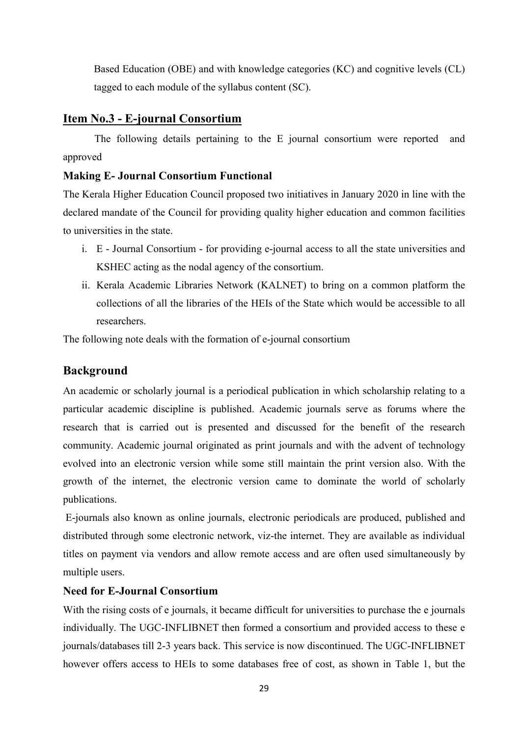Based Education (OBE) and with knowledge categories (KC) and cognitive levels (CL) tagged to each module of the syllabus content (SC).

#### **Item No.3 - E-journal Consortium**

 The following details pertaining to the E journal consortium were reported and approved

#### **Making E- Journal Consortium Functional**

The Kerala Higher Education Council proposed two initiatives in January 2020 in line with the declared mandate of the Council for providing quality higher education and common facilities to universities in the state.

- i. E Journal Consortium for providing e-journal access to all the state universities and KSHEC acting as the nodal agency of the consortium.
- ii. Kerala Academic Libraries Network (KALNET) to bring on a common platform the collections of all the libraries of the HEIs of the State which would be accessible to all researchers.

The following note deals with the formation of e-journal consortium

#### **Background**

An academic or scholarly journal is a periodical publication in which scholarship relating to a particular academic discipline is published. Academic journals serve as forums where the research that is carried out is presented and discussed for the benefit of the research community. Academic journal originated as print journals and with the advent of technology evolved into an electronic version while some still maintain the print version also. With the growth of the internet, the electronic version came to dominate the world of scholarly publications.

 E-journals also known as online journals, electronic periodicals are produced, published and distributed through some electronic network, viz-the internet. They are available as individual titles on payment via vendors and allow remote access and are often used simultaneously by multiple users.

#### **Need for E-Journal Consortium**

With the rising costs of e journals, it became difficult for universities to purchase the e journals individually. The UGC-INFLIBNET then formed a consortium and provided access to these e journals/databases till 2-3 years back. This service is now discontinued. The UGC-INFLIBNET however offers access to HEIs to some databases free of cost, as shown in Table 1, but the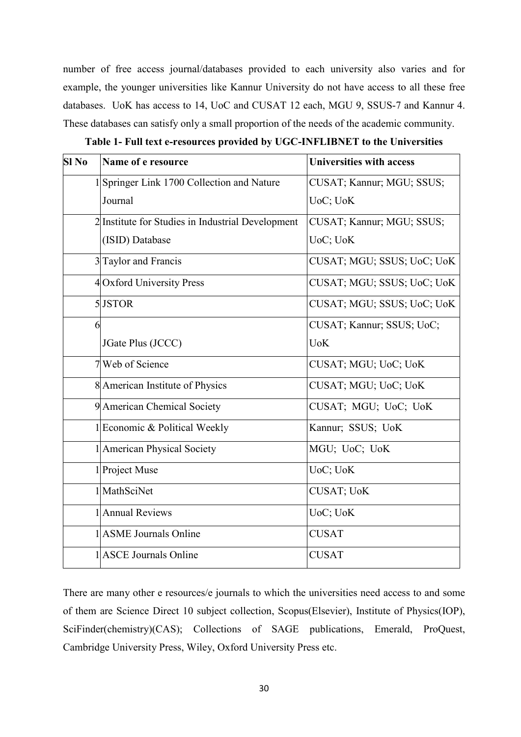number of free access journal/databases provided to each university also varies and for example, the younger universities like Kannur University do not have access to all these free databases. UoK has access to 14, UoC and CUSAT 12 each, MGU 9, SSUS-7 and Kannur 4. These databases can satisfy only a small proportion of the needs of the academic community.

| Sl No | Name of e resource                                | <b>Universities with access</b> |  |
|-------|---------------------------------------------------|---------------------------------|--|
|       | 1  Springer Link 1700 Collection and Nature       | CUSAT; Kannur; MGU; SSUS;       |  |
|       | Journal                                           | UoC; UoK                        |  |
|       | 2 Institute for Studies in Industrial Development | CUSAT; Kannur; MGU; SSUS;       |  |
|       | (ISID) Database                                   | UoC; UoK                        |  |
|       | 3 Taylor and Francis                              | CUSAT; MGU; SSUS; UoC; UoK      |  |
|       | 4 Oxford University Press                         | CUSAT; MGU; SSUS; UoC; UoK      |  |
|       | 5 JSTOR                                           | CUSAT; MGU; SSUS; UoC; UoK      |  |
| 6     |                                                   | CUSAT; Kannur; SSUS; UoC;       |  |
|       | JGate Plus (JCCC)                                 | <b>UoK</b>                      |  |
|       | 7 Web of Science                                  | CUSAT; MGU; UoC; UoK            |  |
|       | 8 American Institute of Physics                   | CUSAT; MGU; UoC; UoK            |  |
|       | 9 American Chemical Society                       | CUSAT; MGU; UoC; UoK            |  |
|       | 1 Economic & Political Weekly                     | Kannur; SSUS; UoK               |  |
|       | 1 American Physical Society                       | MGU; UoC; UoK                   |  |
|       | 1 Project Muse                                    | UoC; UoK                        |  |
|       | 1 MathSciNet                                      | CUSAT; UoK                      |  |
|       | 1 Annual Reviews                                  | UoC; UoK                        |  |
|       | 1 ASME Journals Online                            | <b>CUSAT</b>                    |  |
|       | 1 ASCE Journals Online                            | <b>CUSAT</b>                    |  |

| Table 1- Full text e-resources provided by UGC-INFLIBNET to the Universities |
|------------------------------------------------------------------------------|
|------------------------------------------------------------------------------|

There are many other e resources/e journals to which the universities need access to and some of them are Science Direct 10 subject collection, Scopus(Elsevier), Institute of Physics(IOP), SciFinder(chemistry)(CAS); Collections of SAGE publications, Emerald, ProQuest, Cambridge University Press, Wiley, Oxford University Press etc.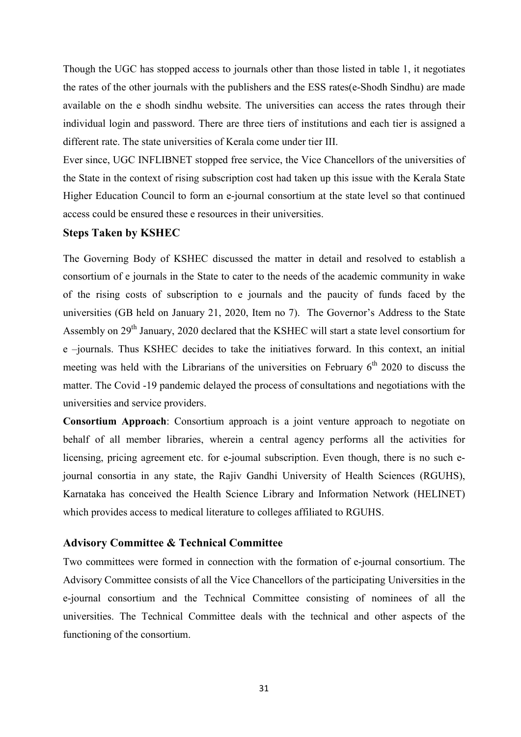Though the UGC has stopped access to journals other than those listed in table 1, it negotiates the rates of the other journals with the publishers and the ESS rates(e-Shodh Sindhu) are made available on the e shodh sindhu website. The universities can access the rates through their individual login and password. There are three tiers of institutions and each tier is assigned a different rate. The state universities of Kerala come under tier III.

Ever since, UGC INFLIBNET stopped free service, the Vice Chancellors of the universities of the State in the context of rising subscription cost had taken up this issue with the Kerala State Higher Education Council to form an e-journal consortium at the state level so that continued access could be ensured these e resources in their universities.

#### **Steps Taken by KSHEC**

The Governing Body of KSHEC discussed the matter in detail and resolved to establish a consortium of e journals in the State to cater to the needs of the academic community in wake of the rising costs of subscription to e journals and the paucity of funds faced by the universities (GB held on January 21, 2020, Item no 7). The Governor's Address to the State Assembly on 29<sup>th</sup> January, 2020 declared that the KSHEC will start a state level consortium for e –journals. Thus KSHEC decides to take the initiatives forward. In this context, an initial meeting was held with the Librarians of the universities on February 6<sup>th</sup> 2020 to discuss the matter. The Covid -19 pandemic delayed the process of consultations and negotiations with the universities and service providers.

**Consortium Approach**: Consortium approach is a joint venture approach to negotiate on behalf of all member libraries, wherein a central agency performs all the activities for licensing, pricing agreement etc. for e-joumal subscription. Even though, there is no such ejournal consortia in any state, the Rajiv Gandhi University of Health Sciences (RGUHS), Karnataka has conceived the Health Science Library and Information Network (HELINET) which provides access to medical literature to colleges affiliated to RGUHS.

#### **Advisory Committee & Technical Committee**

Two committees were formed in connection with the formation of e-journal consortium. The Advisory Committee consists of all the Vice Chancellors of the participating Universities in the e-journal consortium and the Technical Committee consisting of nominees of all the universities. The Technical Committee deals with the technical and other aspects of the functioning of the consortium.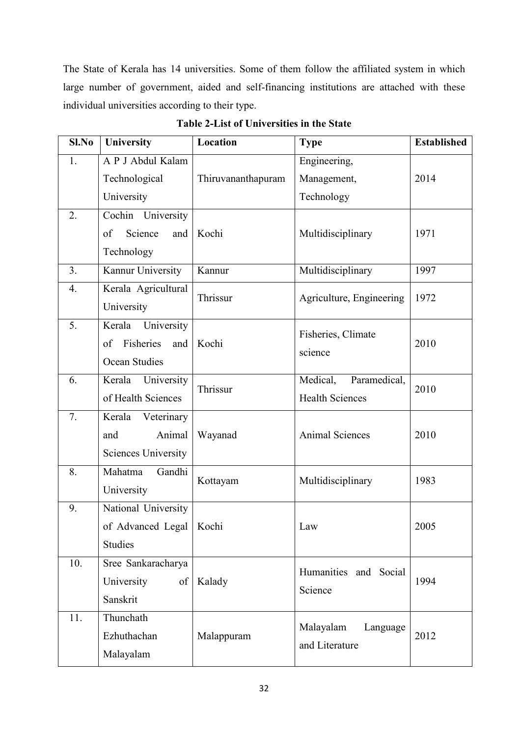The State of Kerala has 14 universities. Some of them follow the affiliated system in which large number of government, aided and self-financing institutions are attached with these individual universities according to their type.

| Sl.No | University                 | Location                          | <b>Type</b>              | <b>Established</b> |  |
|-------|----------------------------|-----------------------------------|--------------------------|--------------------|--|
| 1.    | A P J Abdul Kalam          |                                   | Engineering,             |                    |  |
|       | Technological              | Thiruvananthapuram                | Management,              | 2014               |  |
|       | University                 |                                   | Technology               |                    |  |
| 2.    | Cochin University          |                                   |                          |                    |  |
|       | of<br>Science<br>and       | Kochi                             | Multidisciplinary        | 1971               |  |
|       | Technology                 |                                   |                          |                    |  |
| 3.    | Kannur University          | Kannur                            | Multidisciplinary        | 1997               |  |
| 4.    | Kerala Agricultural        | Thrissur                          | Agriculture, Engineering | 1972               |  |
|       | University                 |                                   |                          |                    |  |
| 5.    | Kerala University          |                                   | Fisheries, Climate       |                    |  |
|       | Fisheries<br>of<br>and     | Kochi                             | science                  | 2010               |  |
|       | Ocean Studies              |                                   |                          |                    |  |
| 6.    | Kerala University          | Thrissur                          | Medical,<br>Paramedical, | 2010               |  |
|       | of Health Sciences         |                                   | <b>Health Sciences</b>   |                    |  |
| 7.    | Kerala<br>Veterinary       |                                   |                          |                    |  |
|       | Animal<br>and              | Wayanad<br><b>Animal Sciences</b> |                          | 2010               |  |
|       | <b>Sciences University</b> |                                   |                          |                    |  |
| 8.    | Gandhi<br>Mahatma          | Kottayam                          | Multidisciplinary        | 1983               |  |
|       | University                 |                                   |                          |                    |  |
| 9.    | National University        |                                   |                          |                    |  |
|       | of Advanced Legal   Kochi  |                                   | Law                      | 2005               |  |
|       | <b>Studies</b>             |                                   |                          |                    |  |
| 10.   | Sree Sankaracharya         |                                   | Humanities and Social    |                    |  |
|       | University<br>of           | Kalady                            | Science                  | 1994               |  |
|       | Sanskrit                   |                                   |                          |                    |  |
| 11.   | Thunchath                  |                                   | Malayalam<br>Language    |                    |  |
|       | Ezhuthachan                | Malappuram                        | and Literature           | 2012               |  |
|       | Malayalam                  |                                   |                          |                    |  |

**Table 2-List of Universities in the State**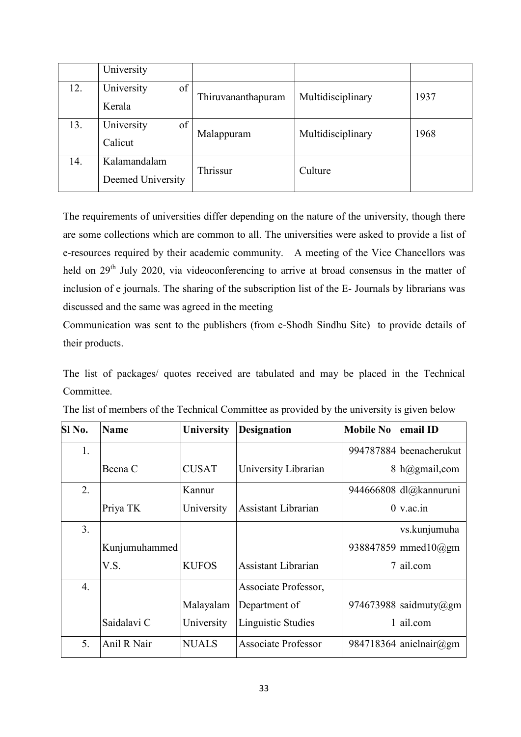|     | University        |                    |                   |      |  |
|-----|-------------------|--------------------|-------------------|------|--|
| 12. | University<br>of  | Thiruvananthapuram | Multidisciplinary | 1937 |  |
|     | Kerala            |                    |                   |      |  |
| 13. | University<br>of  | Malappuram         | Multidisciplinary | 1968 |  |
|     | Calicut           |                    |                   |      |  |
| 14. | Kalamandalam      | Thrissur           | Culture           |      |  |
|     | Deemed University |                    |                   |      |  |

The requirements of universities differ depending on the nature of the university, though there are some collections which are common to all. The universities were asked to provide a list of e-resources required by their academic community. A meeting of the Vice Chancellors was held on 29<sup>th</sup> July 2020, via videoconferencing to arrive at broad consensus in the matter of inclusion of e journals. The sharing of the subscription list of the E- Journals by librarians was discussed and the same was agreed in the meeting

Communication was sent to the publishers (from e-Shodh Sindhu Site) to provide details of their products.

The list of packages/ quotes received are tabulated and may be placed in the Technical Committee.

| Sl No.           | <b>Name</b>   | <b>University</b> | <b>Designation</b>         | <b>Mobile No</b> | email ID                |
|------------------|---------------|-------------------|----------------------------|------------------|-------------------------|
| 1.               |               |                   |                            |                  | 994787884 beenacherukut |
|                  | Beena C       | <b>CUSAT</b>      | University Librarian       |                  | $8 h$ @gmail,com        |
| 2.               |               | Kannur            |                            |                  | 944666808 dl@kannuruni  |
|                  | Priya TK      | University        | Assistant Librarian        |                  | $0 \vee$ ac.in          |
| 3.               |               |                   |                            |                  | vs.kunjumuha            |
|                  | Kunjumuhammed |                   |                            |                  | 938847859 mmed $10$ @gm |
|                  | V.S.          | <b>KUFOS</b>      | Assistant Librarian        | 7                | ail.com                 |
| $\overline{4}$ . |               |                   | Associate Professor,       |                  |                         |
|                  |               | Malayalam         | Department of              |                  | 974673988 saidmuty@gm   |
|                  | Saidalavi C   | University        | Linguistic Studies         |                  | ail.com                 |
| 5.               | Anil R Nair   | <b>NUALS</b>      | <b>Associate Professor</b> |                  | 984718364 anielnair@gm  |

| The list of members of the Technical Committee as provided by the university is given below |  |  |  |
|---------------------------------------------------------------------------------------------|--|--|--|
|---------------------------------------------------------------------------------------------|--|--|--|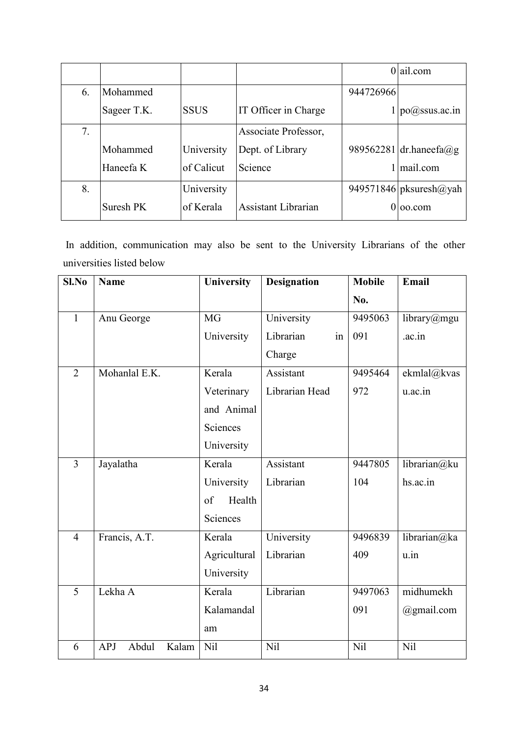|    |             |             |                      |           | $0$  ail.com                      |
|----|-------------|-------------|----------------------|-----------|-----------------------------------|
| 6. | Mohammed    |             |                      | 944726966 |                                   |
|    | Sageer T.K. | <b>SSUS</b> | IT Officer in Charge |           | po@ssus.ac.in                     |
| 7. |             |             | Associate Professor, |           |                                   |
|    | Mohammed    | University  | Dept. of Library     |           | 989562281 dr.haneefa@g            |
|    | Haneefa K   | of Calicut  | Science              |           | mail.com                          |
| 8. |             | University  |                      |           | 949571846   pksuresh $\omega$ yah |
|    | Suresh PK   | of Kerala   | Assistant Librarian  | 0         | 00.com                            |

 In addition, communication may also be sent to the University Librarians of the other universities listed below

| Sl.No          | <b>Name</b>                  | University   | <b>Designation</b> | <b>Mobile</b> | <b>Email</b> |
|----------------|------------------------------|--------------|--------------------|---------------|--------------|
|                |                              |              |                    | No.           |              |
| $\mathbf{1}$   | Anu George                   | <b>MG</b>    | University         | 9495063       | library@mgu  |
|                |                              | University   | Librarian<br>in    | 091           | .ac.in       |
|                |                              |              | Charge             |               |              |
| $\overline{2}$ | Mohanlal E.K.                | Kerala       | Assistant          | 9495464       | ekmlal@kvas  |
|                |                              | Veterinary   | Librarian Head     | 972           | u.ac.in      |
|                |                              | and Animal   |                    |               |              |
|                |                              | Sciences     |                    |               |              |
|                |                              | University   |                    |               |              |
| $\overline{3}$ | Jayalatha                    | Kerala       | Assistant          | 9447805       | librarian@ku |
|                |                              | University   | Librarian          | 104           | hs.ac.in     |
|                |                              | Health<br>of |                    |               |              |
|                |                              | Sciences     |                    |               |              |
| $\overline{4}$ | Francis, A.T.                | Kerala       | University         | 9496839       | librarian@ka |
|                |                              | Agricultural | Librarian          | 409           | u.in         |
|                |                              | University   |                    |               |              |
| 5              | Lekha A                      | Kerala       | Librarian          | 9497063       | midhumekh    |
|                |                              | Kalamandal   |                    | 091           | @gmail.com   |
|                |                              | am           |                    |               |              |
| 6              | Abdul<br><b>APJ</b><br>Kalam | Nil          | Nil                | Nil           | Nil          |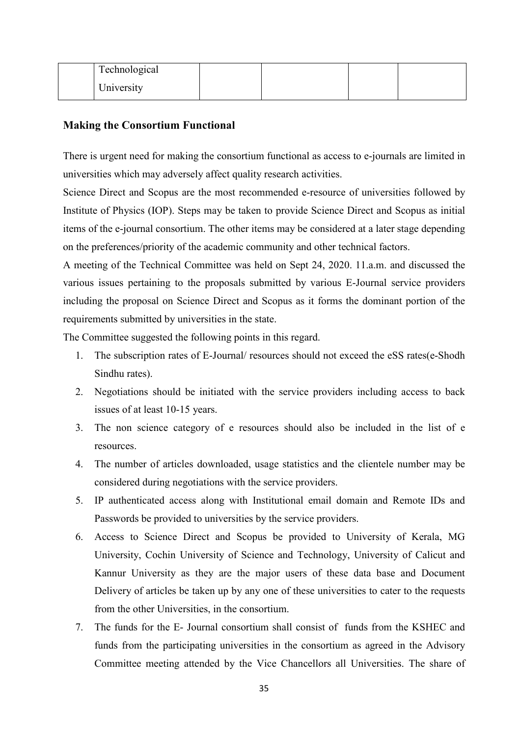| Technological              |  |  |
|----------------------------|--|--|
| $\mathbf{v}$<br>University |  |  |

#### **Making the Consortium Functional**

There is urgent need for making the consortium functional as access to e-journals are limited in universities which may adversely affect quality research activities.

Science Direct and Scopus are the most recommended e-resource of universities followed by Institute of Physics (IOP). Steps may be taken to provide Science Direct and Scopus as initial items of the e-journal consortium. The other items may be considered at a later stage depending on the preferences/priority of the academic community and other technical factors.

A meeting of the Technical Committee was held on Sept 24, 2020. 11.a.m. and discussed the various issues pertaining to the proposals submitted by various E-Journal service providers including the proposal on Science Direct and Scopus as it forms the dominant portion of the requirements submitted by universities in the state.

The Committee suggested the following points in this regard.

- 1. The subscription rates of E-Journal/ resources should not exceed the eSS rates(e-Shodh Sindhu rates).
- 2. Negotiations should be initiated with the service providers including access to back issues of at least 10-15 years.
- 3. The non science category of e resources should also be included in the list of e resources.
- 4. The number of articles downloaded, usage statistics and the clientele number may be considered during negotiations with the service providers.
- 5. IP authenticated access along with Institutional email domain and Remote IDs and Passwords be provided to universities by the service providers.
- 6. Access to Science Direct and Scopus be provided to University of Kerala, MG University, Cochin University of Science and Technology, University of Calicut and Kannur University as they are the major users of these data base and Document Delivery of articles be taken up by any one of these universities to cater to the requests from the other Universities, in the consortium.
- 7. The funds for the E- Journal consortium shall consist of funds from the KSHEC and funds from the participating universities in the consortium as agreed in the Advisory Committee meeting attended by the Vice Chancellors all Universities. The share of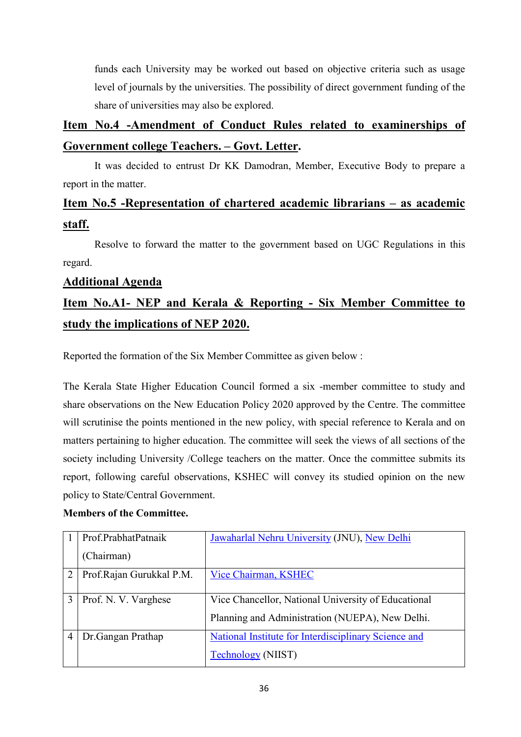funds each University may be worked out based on objective criteria such as usage level of journals by the universities. The possibility of direct government funding of the share of universities may also be explored.

# **Item No.4 -Amendment of Conduct Rules related to examinerships of Government college Teachers. – Govt. Letter.**

 It was decided to entrust Dr KK Damodran, Member, Executive Body to prepare a report in the matter.

# **Item No.5 -Representation of chartered academic librarians – as academic staff.**

 Resolve to forward the matter to the government based on UGC Regulations in this regard.

#### **Additional Agenda**

# **Item No.A1- NEP and Kerala & Reporting - Six Member Committee to study the implications of NEP 2020.**

Reported the formation of the Six Member Committee as given below :

The Kerala State Higher Education Council formed a six -member committee to study and share observations on the New Education Policy 2020 approved by the Centre. The committee will scrutinise the points mentioned in the new policy, with special reference to Kerala and on matters pertaining to higher education. The committee will seek the views of all sections of the society including University /College teachers on the matter. Once the committee submits its report, following careful observations, KSHEC will convey its studied opinion on the new policy to State/Central Government.

#### **Members of the Committee.**

|   | Prof.PrabhatPatnaik       | Jawaharlal Nehru University (JNU), New Delhi                |
|---|---------------------------|-------------------------------------------------------------|
|   | (Chairman)                |                                                             |
| 2 | Prof. Rajan Gurukkal P.M. | Vice Chairman, KSHEC                                        |
|   |                           |                                                             |
|   | Prof. N. V. Varghese      | Vice Chancellor, National University of Educational         |
|   |                           | Planning and Administration (NUEPA), New Delhi.             |
|   | Dr.Gangan Prathap         | <b>National Institute for Interdisciplinary Science and</b> |
|   |                           | <b>Technology (NIIST)</b>                                   |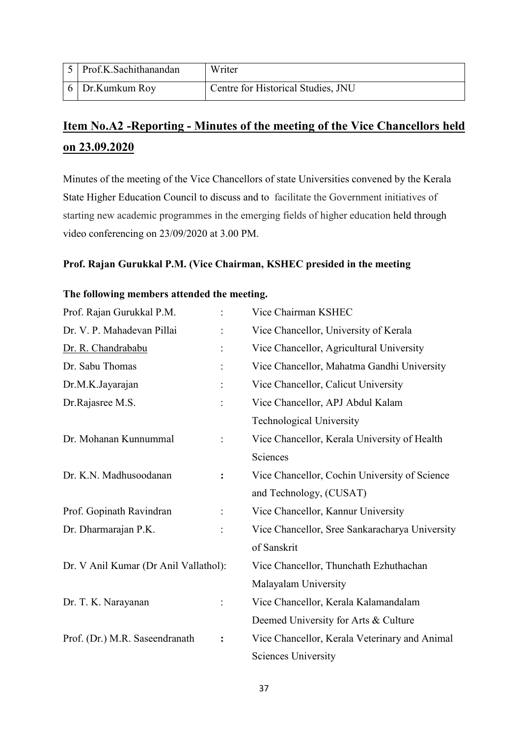| Prof.K.Sachithanandan | Writer                             |
|-----------------------|------------------------------------|
| 6 Dr.Kumkum Roy       | Centre for Historical Studies, JNU |

# **Item No.A2 -Reporting - Minutes of the meeting of the Vice Chancellors held on 23.09.2020**

Minutes of the meeting of the Vice Chancellors of state Universities convened by the Kerala State Higher Education Council to discuss and to facilitate the Government initiatives of starting new academic programmes in the emerging fields of higher education held through video conferencing on 23/09/2020 at 3.00 PM.

#### **Prof. Rajan Gurukkal P.M. (Vice Chairman, KSHEC presided in the meeting**

#### **The following members attended the meeting.**

| Prof. Rajan Gurukkal P.M.             |                | Vice Chairman KSHEC                            |
|---------------------------------------|----------------|------------------------------------------------|
| Dr. V. P. Mahadevan Pillai            |                | Vice Chancellor, University of Kerala          |
| Dr. R. Chandrababu                    |                | Vice Chancellor, Agricultural University       |
| Dr. Sabu Thomas                       |                | Vice Chancellor, Mahatma Gandhi University     |
| Dr.M.K.Jayarajan                      |                | Vice Chancellor, Calicut University            |
| Dr.Rajasree M.S.                      |                | Vice Chancellor, APJ Abdul Kalam               |
|                                       |                | <b>Technological University</b>                |
| Dr. Mohanan Kunnummal                 |                | Vice Chancellor, Kerala University of Health   |
|                                       |                | Sciences                                       |
| Dr. K.N. Madhusoodanan                | $\ddot{\cdot}$ | Vice Chancellor, Cochin University of Science  |
|                                       |                | and Technology, (CUSAT)                        |
| Prof. Gopinath Ravindran              |                | Vice Chancellor, Kannur University             |
| Dr. Dharmarajan P.K.                  |                | Vice Chancellor, Sree Sankaracharya University |
|                                       |                | of Sanskrit                                    |
| Dr. V Anil Kumar (Dr Anil Vallathol): |                | Vice Chancellor, Thunchath Ezhuthachan         |
|                                       |                | Malayalam University                           |
| Dr. T. K. Narayanan                   |                | Vice Chancellor, Kerala Kalamandalam           |
|                                       |                | Deemed University for Arts & Culture           |
| Prof. (Dr.) M.R. Saseendranath        | $\ddot{\cdot}$ | Vice Chancellor, Kerala Veterinary and Animal  |
|                                       |                | <b>Sciences University</b>                     |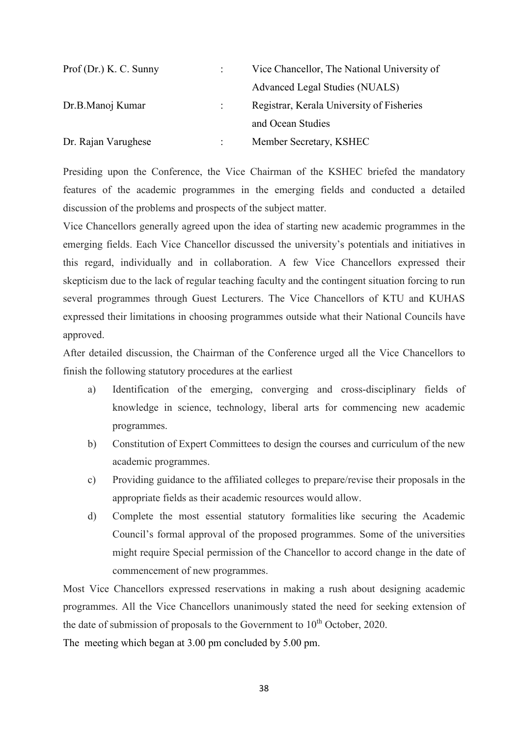| Prof(Dr.) K. C. Sunny |    | Vice Chancellor, The National University of |
|-----------------------|----|---------------------------------------------|
|                       |    | Advanced Legal Studies (NUALS)              |
| Dr.B.Manoj Kumar      | ÷  | Registrar, Kerala University of Fisheries   |
|                       |    | and Ocean Studies                           |
| Dr. Rajan Varughese   | ٠. | Member Secretary, KSHEC                     |

Presiding upon the Conference, the Vice Chairman of the KSHEC briefed the mandatory features of the academic programmes in the emerging fields and conducted a detailed discussion of the problems and prospects of the subject matter.

Vice Chancellors generally agreed upon the idea of starting new academic programmes in the emerging fields. Each Vice Chancellor discussed the university's potentials and initiatives in this regard, individually and in collaboration. A few Vice Chancellors expressed their skepticism due to the lack of regular teaching faculty and the contingent situation forcing to run several programmes through Guest Lecturers. The Vice Chancellors of KTU and KUHAS expressed their limitations in choosing programmes outside what their National Councils have approved.

After detailed discussion, the Chairman of the Conference urged all the Vice Chancellors to finish the following statutory procedures at the earliest

- a) Identification of the emerging, converging and cross-disciplinary fields of knowledge in science, technology, liberal arts for commencing new academic programmes.
- b) Constitution of Expert Committees to design the courses and curriculum of the new academic programmes.
- c) Providing guidance to the affiliated colleges to prepare/revise their proposals in the appropriate fields as their academic resources would allow.
- d) Complete the most essential statutory formalities like securing the Academic Council's formal approval of the proposed programmes. Some of the universities might require Special permission of the Chancellor to accord change in the date of commencement of new programmes.

Most Vice Chancellors expressed reservations in making a rush about designing academic programmes. All the Vice Chancellors unanimously stated the need for seeking extension of the date of submission of proposals to the Government to  $10^{th}$  October, 2020.

The meeting which began at 3.00 pm concluded by 5.00 pm.